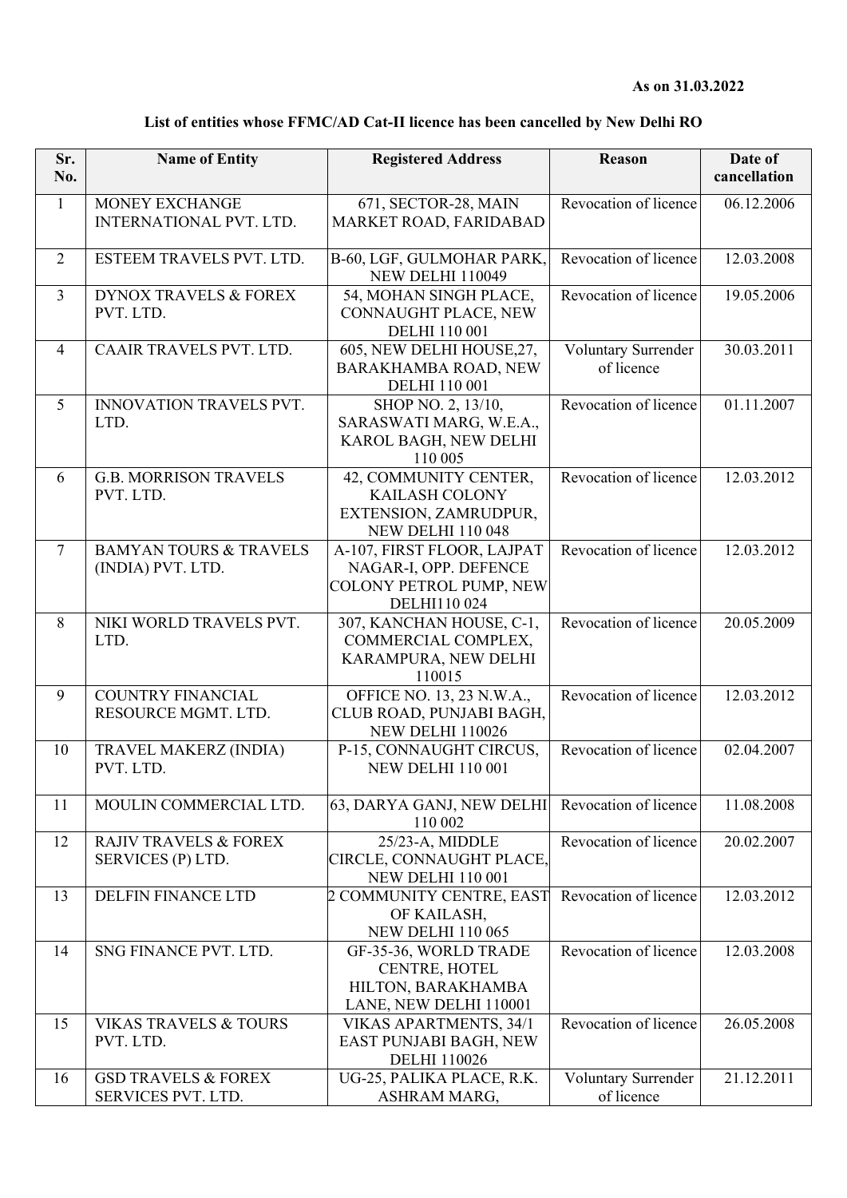| List of entities whose FFMC/AD Cat-II licence has been cancelled by New Delhi RO |
|----------------------------------------------------------------------------------|
|----------------------------------------------------------------------------------|

| Sr.            | <b>Name of Entity</b>                                  | <b>Registered Address</b>                                                                           | <b>Reason</b>                     | Date of      |
|----------------|--------------------------------------------------------|-----------------------------------------------------------------------------------------------------|-----------------------------------|--------------|
| No.            |                                                        |                                                                                                     |                                   | cancellation |
| $\mathbf{1}$   | MONEY EXCHANGE<br><b>INTERNATIONAL PVT. LTD.</b>       | 671, SECTOR-28, MAIN<br>MARKET ROAD, FARIDABAD                                                      | Revocation of licence             | 06.12.2006   |
| $\overline{2}$ | ESTEEM TRAVELS PVT. LTD.                               | B-60, LGF, GULMOHAR PARK,<br><b>NEW DELHI 110049</b>                                                | Revocation of licence             | 12.03.2008   |
| 3              | <b>DYNOX TRAVELS &amp; FOREX</b><br>PVT. LTD.          | 54, MOHAN SINGH PLACE,<br>CONNAUGHT PLACE, NEW<br><b>DELHI 110 001</b>                              | Revocation of licence             | 19.05.2006   |
| $\overline{4}$ | CAAIR TRAVELS PVT. LTD.                                | 605, NEW DELHI HOUSE, 27,<br>BARAKHAMBA ROAD, NEW<br><b>DELHI</b> 110 001                           | Voluntary Surrender<br>of licence | 30.03.2011   |
| 5              | INNOVATION TRAVELS PVT.<br>LTD.                        | SHOP NO. 2, 13/10,<br>SARASWATI MARG, W.E.A.,<br>KAROL BAGH, NEW DELHI<br>110 005                   | Revocation of licence             | 01.11.2007   |
| 6              | <b>G.B. MORRISON TRAVELS</b><br>PVT. LTD.              | 42, COMMUNITY CENTER,<br><b>KAILASH COLONY</b><br>EXTENSION, ZAMRUDPUR,<br><b>NEW DELHI 110 048</b> | Revocation of licence             | 12.03.2012   |
| $\tau$         | <b>BAMYAN TOURS &amp; TRAVELS</b><br>(INDIA) PVT. LTD. | A-107, FIRST FLOOR, LAJPAT<br>NAGAR-I, OPP. DEFENCE<br>COLONY PETROL PUMP, NEW<br>DELHI110 024      | Revocation of licence             | 12.03.2012   |
| 8              | NIKI WORLD TRAVELS PVT.<br>LTD.                        | 307, KANCHAN HOUSE, C-1,<br>COMMERCIAL COMPLEX,<br>KARAMPURA, NEW DELHI<br>110015                   | Revocation of licence             | 20.05.2009   |
| 9              | <b>COUNTRY FINANCIAL</b><br>RESOURCE MGMT. LTD.        | OFFICE NO. 13, 23 N.W.A.,<br>CLUB ROAD, PUNJABI BAGH,<br>NEW DELHI 110026                           | Revocation of licence             | 12.03.2012   |
| 10             | TRAVEL MAKERZ (INDIA)<br>PVT. LTD.                     | P-15, CONNAUGHT CIRCUS,<br><b>NEW DELHI 110 001</b>                                                 | Revocation of licence             | 02.04.2007   |
| 11             | MOULIN COMMERCIAL LTD.                                 | 63, DARYA GANJ, NEW DELHI<br>110 002                                                                | Revocation of licence             | 11.08.2008   |
| 12             | <b>RAJIV TRAVELS &amp; FOREX</b><br>SERVICES (P) LTD.  | 25/23-A, MIDDLE<br>CIRCLE, CONNAUGHT PLACE,<br><b>NEW DELHI 110 001</b>                             | Revocation of licence             | 20.02.2007   |
| 13             | DELFIN FINANCE LTD                                     | 2 COMMUNITY CENTRE, EAST<br>OF KAILASH,<br><b>NEW DELHI 110 065</b>                                 | Revocation of licence             | 12.03.2012   |
| 14             | SNG FINANCE PVT. LTD.                                  | GF-35-36, WORLD TRADE<br>CENTRE, HOTEL<br>HILTON, BARAKHAMBA<br>LANE, NEW DELHI 110001              | Revocation of licence             | 12.03.2008   |
| 15             | <b>VIKAS TRAVELS &amp; TOURS</b><br>PVT. LTD.          | VIKAS APARTMENTS, 34/1<br>EAST PUNJABI BAGH, NEW<br><b>DELHI</b> 110026                             | Revocation of licence             | 26.05.2008   |
| 16             | <b>GSD TRAVELS &amp; FOREX</b><br>SERVICES PVT. LTD.   | UG-25, PALIKA PLACE, R.K.<br>ASHRAM MARG,                                                           | Voluntary Surrender<br>of licence | 21.12.2011   |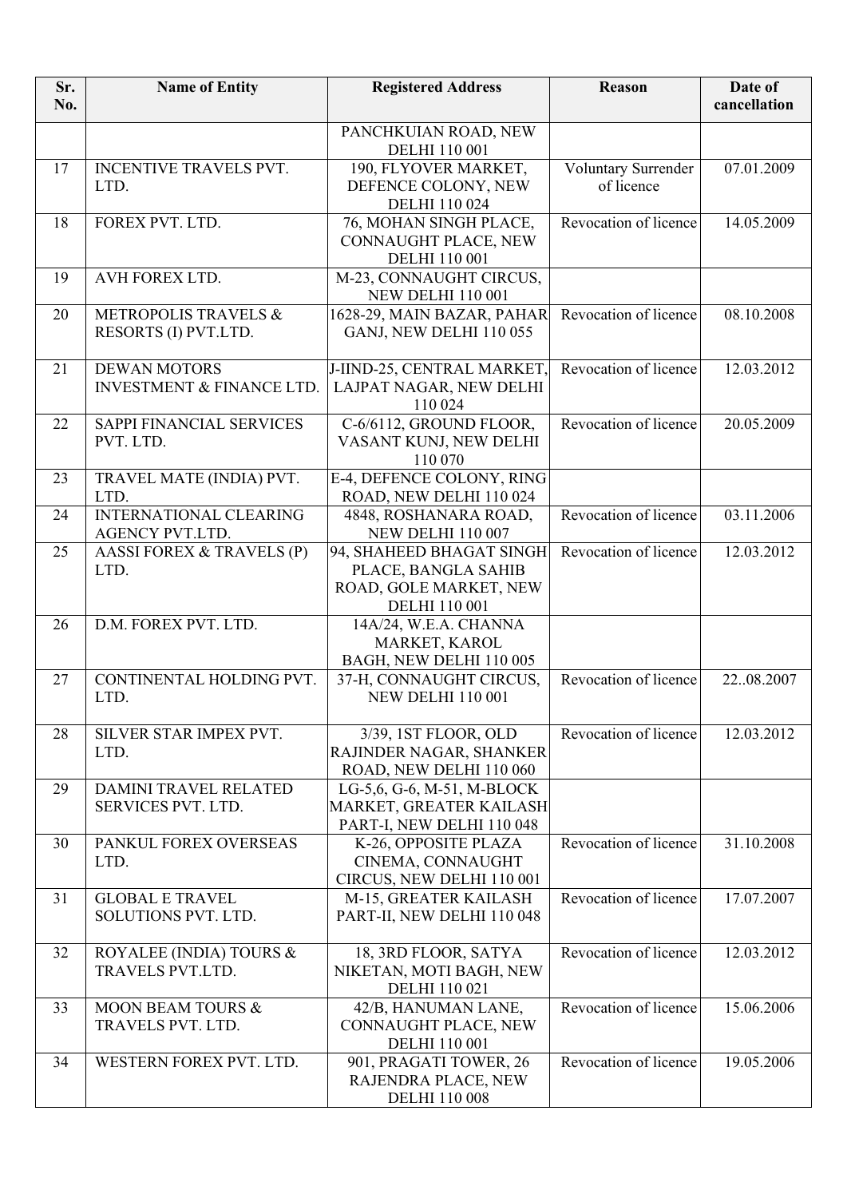| Sr.<br>No. | <b>Name of Entity</b>                                       | <b>Registered Address</b>                                                                         | Reason                            | Date of<br>cancellation |
|------------|-------------------------------------------------------------|---------------------------------------------------------------------------------------------------|-----------------------------------|-------------------------|
|            |                                                             | PANCHKUIAN ROAD, NEW<br><b>DELHI</b> 110 001                                                      |                                   |                         |
| 17         | INCENTIVE TRAVELS PVT.<br>LTD.                              | 190, FLYOVER MARKET,<br>DEFENCE COLONY, NEW<br><b>DELHI 110 024</b>                               | Voluntary Surrender<br>of licence | 07.01.2009              |
| 18         | FOREX PVT. LTD.                                             | 76, MOHAN SINGH PLACE,<br>CONNAUGHT PLACE, NEW<br><b>DELHI</b> 110 001                            | Revocation of licence             | 14.05.2009              |
| 19         | AVH FOREX LTD.                                              | M-23, CONNAUGHT CIRCUS,<br><b>NEW DELHI 110 001</b>                                               |                                   |                         |
| 20         | <b>METROPOLIS TRAVELS &amp;</b><br>RESORTS (I) PVT.LTD.     | 1628-29, MAIN BAZAR, PAHAR<br>GANJ, NEW DELHI 110 055                                             | Revocation of licence             | 08.10.2008              |
| 21         | <b>DEWAN MOTORS</b><br><b>INVESTMENT &amp; FINANCE LTD.</b> | J-IIND-25, CENTRAL MARKET,<br>LAJPAT NAGAR, NEW DELHI<br>110 024                                  | Revocation of licence             | 12.03.2012              |
| 22         | SAPPI FINANCIAL SERVICES<br>PVT. LTD.                       | C-6/6112, GROUND FLOOR,<br>VASANT KUNJ, NEW DELHI<br>110 070                                      | Revocation of licence             | 20.05.2009              |
| 23         | TRAVEL MATE (INDIA) PVT.<br>LTD.                            | E-4, DEFENCE COLONY, RING<br>ROAD, NEW DELHI 110 024                                              |                                   |                         |
| 24         | INTERNATIONAL CLEARING<br><b>AGENCY PVT.LTD.</b>            | 4848, ROSHANARA ROAD,<br><b>NEW DELHI 110 007</b>                                                 | Revocation of licence             | 03.11.2006              |
| 25         | AASSI FOREX & TRAVELS (P)<br>LTD.                           | 94, SHAHEED BHAGAT SINGH<br>PLACE, BANGLA SAHIB<br>ROAD, GOLE MARKET, NEW<br><b>DELHI</b> 110 001 | Revocation of licence             | 12.03.2012              |
| 26         | D.M. FOREX PVT. LTD.                                        | 14A/24, W.E.A. CHANNA<br>MARKET, KAROL<br>BAGH, NEW DELHI 110 005                                 |                                   |                         |
| 27         | CONTINENTAL HOLDING PVT.<br>LTD.                            | 37-H, CONNAUGHT CIRCUS,<br><b>NEW DELHI 110 001</b>                                               | Revocation of licence             | 2208.2007               |
| 28         | SILVER STAR IMPEX PVT.<br>LTD.                              | 3/39, 1ST FLOOR, OLD<br>RAJINDER NAGAR, SHANKER<br>ROAD, NEW DELHI 110 060                        | Revocation of licence             | 12.03.2012              |
| 29         | <b>DAMINI TRAVEL RELATED</b><br>SERVICES PVT. LTD.          | LG-5,6, G-6, M-51, M-BLOCK<br>MARKET, GREATER KAILASH<br>PART-I, NEW DELHI 110 048                |                                   |                         |
| 30         | PANKUL FOREX OVERSEAS<br>LTD.                               | K-26, OPPOSITE PLAZA<br>CINEMA, CONNAUGHT<br>CIRCUS, NEW DELHI 110 001                            | Revocation of licence             | 31.10.2008              |
| 31         | <b>GLOBAL E TRAVEL</b><br>SOLUTIONS PVT. LTD.               | M-15, GREATER KAILASH<br>PART-II, NEW DELHI 110 048                                               | Revocation of licence             | 17.07.2007              |
| 32         | ROYALEE (INDIA) TOURS &<br>TRAVELS PVT.LTD.                 | 18, 3RD FLOOR, SATYA<br>NIKETAN, MOTI BAGH, NEW<br><b>DELHI</b> 110 021                           | Revocation of licence             | 12.03.2012              |
| 33         | <b>MOON BEAM TOURS &amp;</b><br>TRAVELS PVT. LTD.           | 42/B, HANUMAN LANE,<br>CONNAUGHT PLACE, NEW<br><b>DELHI</b> 110 001                               | Revocation of licence             | 15.06.2006              |
| 34         | WESTERN FOREX PVT. LTD.                                     | 901, PRAGATI TOWER, 26<br>RAJENDRA PLACE, NEW<br><b>DELHI 110 008</b>                             | Revocation of licence             | 19.05.2006              |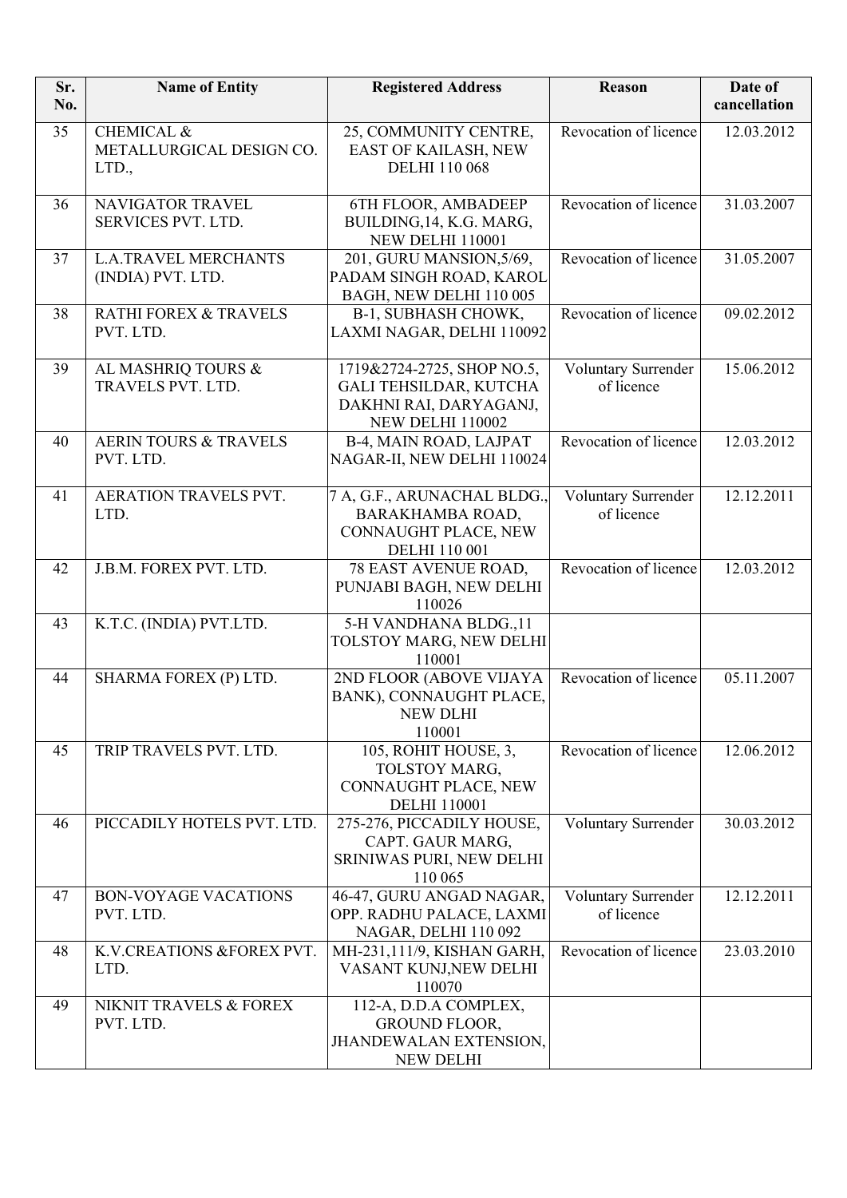| Sr.<br>No. | <b>Name of Entity</b>                                      | <b>Registered Address</b>                                                                                 | Reason                            | Date of<br>cancellation |
|------------|------------------------------------------------------------|-----------------------------------------------------------------------------------------------------------|-----------------------------------|-------------------------|
| 35         | <b>CHEMICAL &amp;</b><br>METALLURGICAL DESIGN CO.<br>LTD., | 25, COMMUNITY CENTRE,<br>EAST OF KAILASH, NEW<br><b>DELHI 110 068</b>                                     | Revocation of licence             | 12.03.2012              |
| 36         | NAVIGATOR TRAVEL<br>SERVICES PVT. LTD.                     | 6TH FLOOR, AMBADEEP<br>BUILDING, 14, K.G. MARG,<br><b>NEW DELHI 110001</b>                                | Revocation of licence             | 31.03.2007              |
| 37         | <b>L.A.TRAVEL MERCHANTS</b><br>(INDIA) PVT. LTD.           | 201, GURU MANSION, 5/69,<br>PADAM SINGH ROAD, KAROL<br>BAGH, NEW DELHI 110 005                            | Revocation of licence             | 31.05.2007              |
| 38         | <b>RATHI FOREX &amp; TRAVELS</b><br>PVT. LTD.              | B-1, SUBHASH CHOWK,<br>LAXMI NAGAR, DELHI 110092                                                          | Revocation of licence             | 09.02.2012              |
| 39         | AL MASHRIQ TOURS &<br>TRAVELS PVT. LTD.                    | 1719&2724-2725, SHOP NO.5,<br><b>GALI TEHSILDAR, KUTCHA</b><br>DAKHNI RAI, DARYAGANJ,<br>NEW DELHI 110002 | Voluntary Surrender<br>of licence | 15.06.2012              |
| 40         | <b>AERIN TOURS &amp; TRAVELS</b><br>PVT. LTD.              | B-4, MAIN ROAD, LAJPAT<br>NAGAR-II, NEW DELHI 110024                                                      | Revocation of licence             | 12.03.2012              |
| 41         | AERATION TRAVELS PVT.<br>LTD.                              | 7 A, G.F., ARUNACHAL BLDG.,<br>BARAKHAMBA ROAD,<br>CONNAUGHT PLACE, NEW<br><b>DELHI</b> 110 001           | Voluntary Surrender<br>of licence | 12.12.2011              |
| 42         | J.B.M. FOREX PVT. LTD.                                     | 78 EAST AVENUE ROAD,<br>PUNJABI BAGH, NEW DELHI<br>110026                                                 | Revocation of licence             | 12.03.2012              |
| 43         | K.T.C. (INDIA) PVT.LTD.                                    | 5-H VANDHANA BLDG.,11<br>TOLSTOY MARG, NEW DELHI<br>110001                                                |                                   |                         |
| 44         | SHARMA FOREX (P) LTD.                                      | 2ND FLOOR (ABOVE VIJAYA<br>BANK), CONNAUGHT PLACE,<br><b>NEW DLHI</b><br>110001                           | Revocation of licence             | 05.11.2007              |
| 45         | TRIP TRAVELS PVT. LTD.                                     | 105, ROHIT HOUSE, 3,<br>TOLSTOY MARG,<br>CONNAUGHT PLACE, NEW<br><b>DELHI</b> 110001                      | Revocation of licence             | 12.06.2012              |
| 46         | PICCADILY HOTELS PVT. LTD.                                 | 275-276, PICCADILY HOUSE,<br>CAPT. GAUR MARG,<br>SRINIWAS PURI, NEW DELHI<br>110 065                      | Voluntary Surrender               | 30.03.2012              |
| 47         | <b>BON-VOYAGE VACATIONS</b><br>PVT. LTD.                   | 46-47, GURU ANGAD NAGAR,<br>OPP. RADHU PALACE, LAXMI<br>NAGAR, DELHI 110 092                              | Voluntary Surrender<br>of licence | 12.12.2011              |
| 48         | K.V.CREATIONS &FOREX PVT.<br>LTD.                          | MH-231,111/9, KISHAN GARH,<br>VASANT KUNJ, NEW DELHI<br>110070                                            | Revocation of licence             | 23.03.2010              |
| 49         | NIKNIT TRAVELS & FOREX<br>PVT. LTD.                        | 112-A, D.D.A COMPLEX,<br><b>GROUND FLOOR,</b><br><b>JHANDEWALAN EXTENSION,</b><br><b>NEW DELHI</b>        |                                   |                         |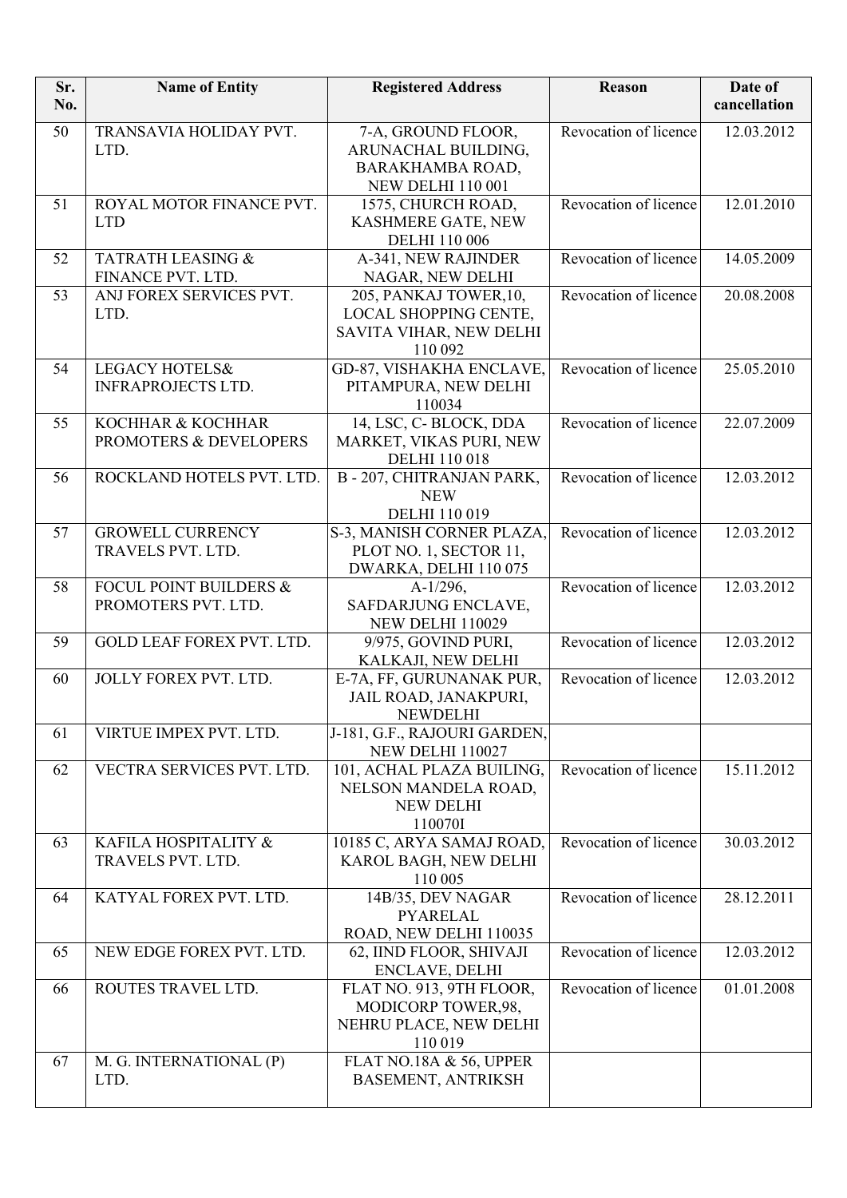| Sr.<br>No. | <b>Name of Entity</b>                                    | <b>Registered Address</b>                                                                 | <b>Reason</b>         | Date of<br>cancellation |
|------------|----------------------------------------------------------|-------------------------------------------------------------------------------------------|-----------------------|-------------------------|
| 50         | TRANSAVIA HOLIDAY PVT.<br>LTD.                           | 7-A, GROUND FLOOR,<br>ARUNACHAL BUILDING,<br>BARAKHAMBA ROAD,<br><b>NEW DELHI 110 001</b> | Revocation of licence | 12.03.2012              |
| 51         | ROYAL MOTOR FINANCE PVT.<br><b>LTD</b>                   | 1575, CHURCH ROAD,<br>KASHMERE GATE, NEW<br><b>DELHI</b> 110 006                          | Revocation of licence | 12.01.2010              |
| 52         | TATRATH LEASING &<br>FINANCE PVT. LTD.                   | A-341, NEW RAJINDER<br>NAGAR, NEW DELHI                                                   | Revocation of licence | 14.05.2009              |
| 53         | ANJ FOREX SERVICES PVT.<br>LTD.                          | 205, PANKAJ TOWER, 10,<br>LOCAL SHOPPING CENTE,<br>SAVITA VIHAR, NEW DELHI<br>110 092     | Revocation of licence | 20.08.2008              |
| 54         | <b>LEGACY HOTELS&amp;</b><br><b>INFRAPROJECTS LTD.</b>   | GD-87, VISHAKHA ENCLAVE,<br>PITAMPURA, NEW DELHI<br>110034                                | Revocation of licence | 25.05.2010              |
| 55         | KOCHHAR & KOCHHAR<br>PROMOTERS & DEVELOPERS              | 14, LSC, C-BLOCK, DDA<br>MARKET, VIKAS PURI, NEW<br><b>DELHI 110 018</b>                  | Revocation of licence | 22.07.2009              |
| 56         | ROCKLAND HOTELS PVT. LTD.                                | B - 207, CHITRANJAN PARK,<br><b>NEW</b><br>DELHI 110 019                                  | Revocation of licence | 12.03.2012              |
| 57         | <b>GROWELL CURRENCY</b><br>TRAVELS PVT. LTD.             | S-3, MANISH CORNER PLAZA,<br>PLOT NO. 1, SECTOR 11,<br>DWARKA, DELHI 110 075              | Revocation of licence | 12.03.2012              |
| 58         | <b>FOCUL POINT BUILDERS &amp;</b><br>PROMOTERS PVT. LTD. | $A-1/296$ ,<br>SAFDARJUNG ENCLAVE,<br><b>NEW DELHI 110029</b>                             | Revocation of licence | 12.03.2012              |
| 59         | <b>GOLD LEAF FOREX PVT. LTD.</b>                         | 9/975, GOVIND PURI,<br>KALKAJI, NEW DELHI                                                 | Revocation of licence | 12.03.2012              |
| 60         | JOLLY FOREX PVT. LTD.                                    | E-7A, FF, GURUNANAK PUR,<br>JAIL ROAD, JANAKPURI,<br><b>NEWDELHI</b>                      | Revocation of licence | 12.03.2012              |
| 61         | VIRTUE IMPEX PVT. LTD.                                   | J-181, G.F., RAJOURI GARDEN,<br><b>NEW DELHI 110027</b>                                   |                       |                         |
| 62         | VECTRA SERVICES PVT. LTD.                                | 101, ACHAL PLAZA BUILING,<br>NELSON MANDELA ROAD,<br><b>NEW DELHI</b><br>110070I          | Revocation of licence | 15.11.2012              |
| 63         | KAFILA HOSPITALITY &<br>TRAVELS PVT. LTD.                | 10185 C, ARYA SAMAJ ROAD,<br>KAROL BAGH, NEW DELHI<br>110 005                             | Revocation of licence | 30.03.2012              |
| 64         | KATYAL FOREX PVT. LTD.                                   | 14B/35, DEV NAGAR<br><b>PYARELAL</b><br>ROAD, NEW DELHI 110035                            | Revocation of licence | 28.12.2011              |
| 65         | NEW EDGE FOREX PVT. LTD.                                 | 62, IIND FLOOR, SHIVAJI<br><b>ENCLAVE, DELHI</b>                                          | Revocation of licence | 12.03.2012              |
| 66         | ROUTES TRAVEL LTD.                                       | FLAT NO. 913, 9TH FLOOR,<br>MODICORP TOWER,98,<br>NEHRU PLACE, NEW DELHI<br>110 019       | Revocation of licence | 01.01.2008              |
| 67         | M. G. INTERNATIONAL (P)<br>LTD.                          | FLAT NO.18A & 56, UPPER<br>BASEMENT, ANTRIKSH                                             |                       |                         |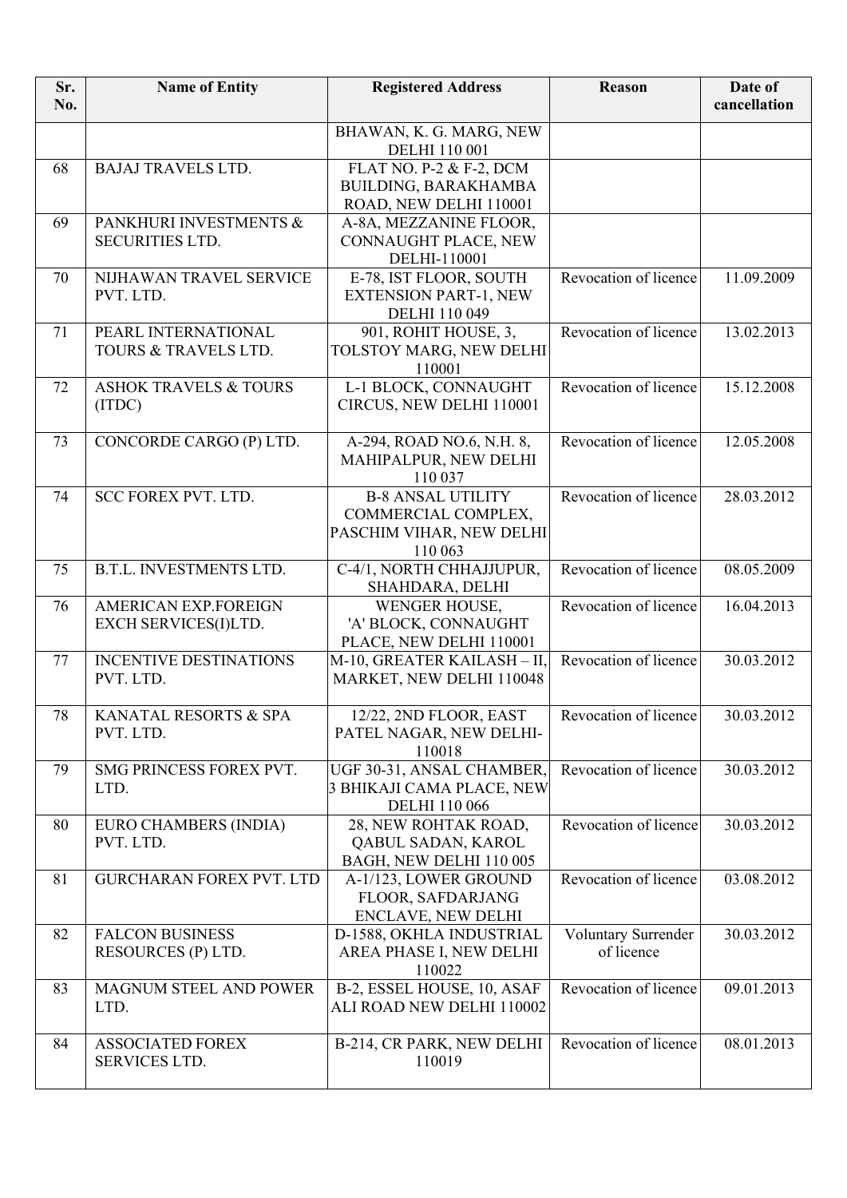| Sr.<br>No. | <b>Name of Entity</b>                               | <b>Registered Address</b>                                                              | Reason                            | Date of<br>cancellation |
|------------|-----------------------------------------------------|----------------------------------------------------------------------------------------|-----------------------------------|-------------------------|
|            |                                                     | BHAWAN, K. G. MARG, NEW<br><b>DELHI</b> 110 001                                        |                                   |                         |
| 68         | <b>BAJAJ TRAVELS LTD.</b>                           | FLAT NO. P-2 & F-2, DCM<br>BUILDING, BARAKHAMBA<br>ROAD, NEW DELHI 110001              |                                   |                         |
| 69         | PANKHURI INVESTMENTS &<br><b>SECURITIES LTD.</b>    | A-8A, MEZZANINE FLOOR,<br>CONNAUGHT PLACE, NEW<br>DELHI-110001                         |                                   |                         |
| 70         | NIJHAWAN TRAVEL SERVICE<br>PVT. LTD.                | E-78, IST FLOOR, SOUTH<br><b>EXTENSION PART-1, NEW</b><br>DELHI 110 049                | Revocation of licence             | 11.09.2009              |
| 71         | PEARL INTERNATIONAL<br>TOURS & TRAVELS LTD.         | 901, ROHIT HOUSE, 3,<br>TOLSTOY MARG, NEW DELHI<br>110001                              | Revocation of licence             | 13.02.2013              |
| 72         | <b>ASHOK TRAVELS &amp; TOURS</b><br>(ITDC)          | L-1 BLOCK, CONNAUGHT<br>CIRCUS, NEW DELHI 110001                                       | Revocation of licence             | 15.12.2008              |
| 73         | CONCORDE CARGO (P) LTD.                             | A-294, ROAD NO.6, N.H. 8,<br>MAHIPALPUR, NEW DELHI<br>110 037                          | Revocation of licence             | 12.05.2008              |
| 74         | <b>SCC FOREX PVT. LTD.</b>                          | <b>B-8 ANSAL UTILITY</b><br>COMMERCIAL COMPLEX,<br>PASCHIM VIHAR, NEW DELHI<br>110 063 | Revocation of licence             | 28.03.2012              |
| 75         | B.T.L. INVESTMENTS LTD.                             | C-4/1, NORTH CHHAJJUPUR,<br>SHAHDARA, DELHI                                            | Revocation of licence             | 08.05.2009              |
| 76         | <b>AMERICAN EXP.FOREIGN</b><br>EXCH SERVICES(I)LTD. | WENGER HOUSE,<br>'A' BLOCK, CONNAUGHT<br>PLACE, NEW DELHI 110001                       | Revocation of licence             | 16.04.2013              |
| 77         | <b>INCENTIVE DESTINATIONS</b><br>PVT. LTD.          | M-10, GREATER KAILASH - II,<br>MARKET, NEW DELHI 110048                                | Revocation of licence             | 30.03.2012              |
| 78         | KANATAL RESORTS & SPA<br>PVT. LTD.                  | 12/22, 2ND FLOOR, EAST<br>PATEL NAGAR, NEW DELHI-<br>110018                            | Revocation of licence             | 30.03.2012              |
| 79         | SMG PRINCESS FOREX PVT.<br>LTD.                     | UGF 30-31, ANSAL CHAMBER,<br>3 BHIKAJI CAMA PLACE, NEW<br><b>DELHI 110 066</b>         | Revocation of licence             | 30.03.2012              |
| 80         | EURO CHAMBERS (INDIA)<br>PVT. LTD.                  | 28, NEW ROHTAK ROAD,<br>QABUL SADAN, KAROL<br>BAGH, NEW DELHI 110 005                  | Revocation of licence             | 30.03.2012              |
| 81         | <b>GURCHARAN FOREX PVT. LTD</b>                     | A-1/123, LOWER GROUND<br>FLOOR, SAFDARJANG<br><b>ENCLAVE, NEW DELHI</b>                | Revocation of licence             | 03.08.2012              |
| 82         | <b>FALCON BUSINESS</b><br>RESOURCES (P) LTD.        | D-1588, OKHLA INDUSTRIAL<br>AREA PHASE I, NEW DELHI<br>110022                          | Voluntary Surrender<br>of licence | 30.03.2012              |
| 83         | MAGNUM STEEL AND POWER<br>LTD.                      | B-2, ESSEL HOUSE, 10, ASAF<br>ALI ROAD NEW DELHI 110002                                | Revocation of licence             | 09.01.2013              |
| 84         | <b>ASSOCIATED FOREX</b><br>SERVICES LTD.            | B-214, CR PARK, NEW DELHI<br>110019                                                    | Revocation of licence             | 08.01.2013              |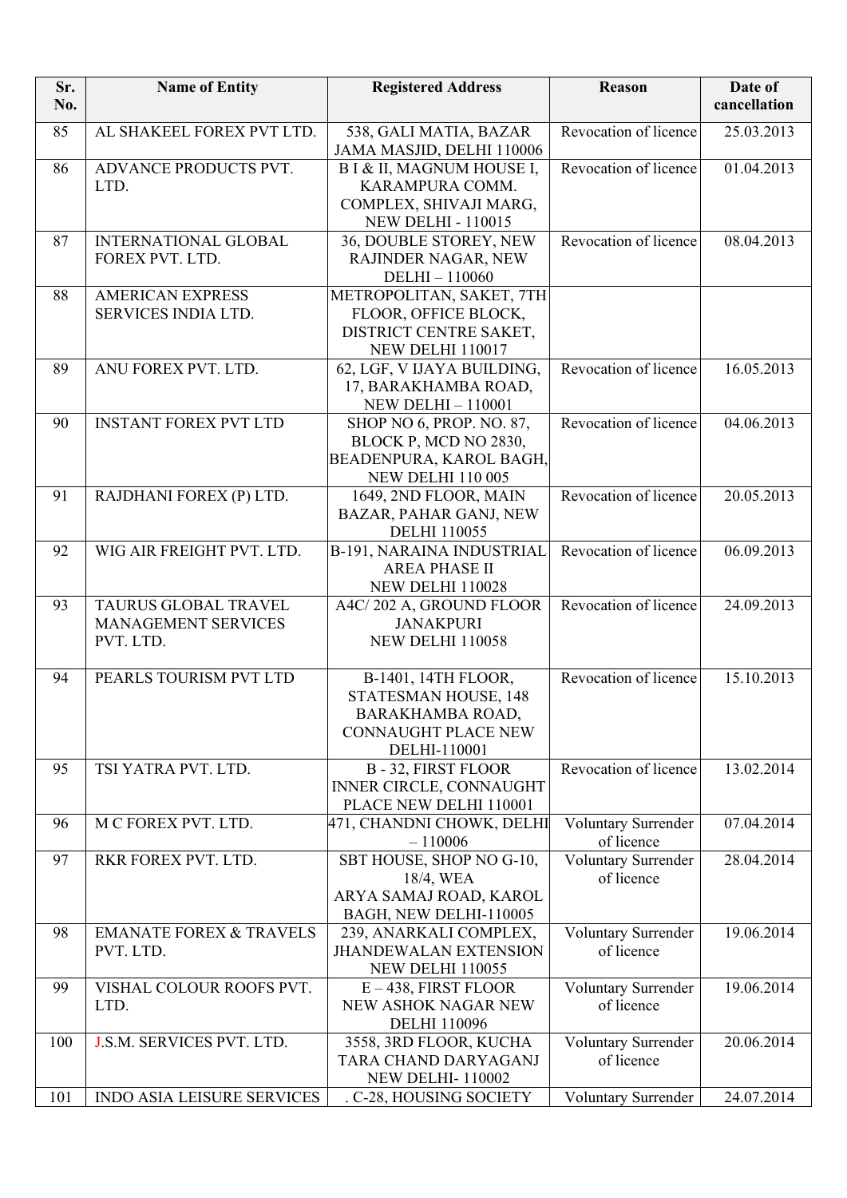| Sr.<br>No. | <b>Name of Entity</b>                                    | <b>Registered Address</b>                                                                                     | <b>Reason</b>                     | Date of<br>cancellation |
|------------|----------------------------------------------------------|---------------------------------------------------------------------------------------------------------------|-----------------------------------|-------------------------|
| 85         | AL SHAKEEL FOREX PVT LTD.                                | 538, GALI MATIA, BAZAR<br>JAMA MASJID, DELHI 110006                                                           | Revocation of licence             | 25.03.2013              |
| 86         | ADVANCE PRODUCTS PVT.<br>LTD.                            | B I & II, MAGNUM HOUSE I,<br>KARAMPURA COMM.<br>COMPLEX, SHIVAJI MARG,<br><b>NEW DELHI - 110015</b>           | Revocation of licence             | 01.04.2013              |
| 87         | <b>INTERNATIONAL GLOBAL</b><br>FOREX PVT. LTD.           | 36, DOUBLE STOREY, NEW<br>RAJINDER NAGAR, NEW<br>DELHI-110060                                                 | Revocation of licence             | 08.04.2013              |
| 88         | <b>AMERICAN EXPRESS</b><br>SERVICES INDIA LTD.           | METROPOLITAN, SAKET, 7TH<br>FLOOR, OFFICE BLOCK,<br>DISTRICT CENTRE SAKET,<br>NEW DELHI 110017                |                                   |                         |
| 89         | ANU FOREX PVT. LTD.                                      | 62, LGF, V IJAYA BUILDING,<br>17, BARAKHAMBA ROAD,<br><b>NEW DELHI - 110001</b>                               | Revocation of licence             | 16.05.2013              |
| 90         | <b>INSTANT FOREX PVT LTD</b>                             | SHOP NO 6, PROP. NO. 87,<br>BLOCK P, MCD NO 2830,<br>BEADENPURA, KAROL BAGH,<br><b>NEW DELHI 110 005</b>      | Revocation of licence             | 04.06.2013              |
| 91         | RAJDHANI FOREX (P) LTD.                                  | 1649, 2ND FLOOR, MAIN<br>BAZAR, PAHAR GANJ, NEW<br><b>DELHI 110055</b>                                        | Revocation of licence             | 20.05.2013              |
| 92         | WIG AIR FREIGHT PVT. LTD.                                | B-191, NARAINA INDUSTRIAL<br><b>AREA PHASE II</b><br>NEW DELHI 110028                                         | Revocation of licence             | 06.09.2013              |
| 93         | TAURUS GLOBAL TRAVEL<br>MANAGEMENT SERVICES<br>PVT. LTD. | A4C/202 A, GROUND FLOOR<br><b>JANAKPURI</b><br>NEW DELHI 110058                                               | Revocation of licence             | 24.09.2013              |
| 94         | PEARLS TOURISM PVT LTD                                   | B-1401, 14TH FLOOR,<br>STATESMAN HOUSE, 148<br>BARAKHAMBA ROAD,<br><b>CONNAUGHT PLACE NEW</b><br>DELHI-110001 | Revocation of licence             | 15.10.2013              |
| 95         | TSI YATRA PVT. LTD.                                      | <b>B-32, FIRST FLOOR</b><br>INNER CIRCLE, CONNAUGHT<br>PLACE NEW DELHI 110001                                 | Revocation of licence             | 13.02.2014              |
| 96         | M C FOREX PVT. LTD.                                      | 471, CHANDNI CHOWK, DELHI<br>$-110006$                                                                        | Voluntary Surrender<br>of licence | 07.04.2014              |
| 97         | RKR FOREX PVT. LTD.                                      | SBT HOUSE, SHOP NO G-10,<br>18/4, WEA<br>ARYA SAMAJ ROAD, KAROL<br>BAGH, NEW DELHI-110005                     | Voluntary Surrender<br>of licence | 28.04.2014              |
| 98         | <b>EMANATE FOREX &amp; TRAVELS</b><br>PVT. LTD.          | 239, ANARKALI COMPLEX,<br><b>JHANDEWALAN EXTENSION</b><br>NEW DELHI 110055                                    | Voluntary Surrender<br>of licence | 19.06.2014              |
| 99         | VISHAL COLOUR ROOFS PVT.<br>LTD.                         | $E - 438$ , FIRST FLOOR<br>NEW ASHOK NAGAR NEW<br><b>DELHI</b> 110096                                         | Voluntary Surrender<br>of licence | 19.06.2014              |
| 100        | J.S.M. SERVICES PVT. LTD.                                | 3558, 3RD FLOOR, KUCHA<br>TARA CHAND DARYAGANJ<br><b>NEW DELHI-110002</b>                                     | Voluntary Surrender<br>of licence | 20.06.2014              |
| 101        | INDO ASIA LEISURE SERVICES                               | . C-28, HOUSING SOCIETY                                                                                       | Voluntary Surrender               | 24.07.2014              |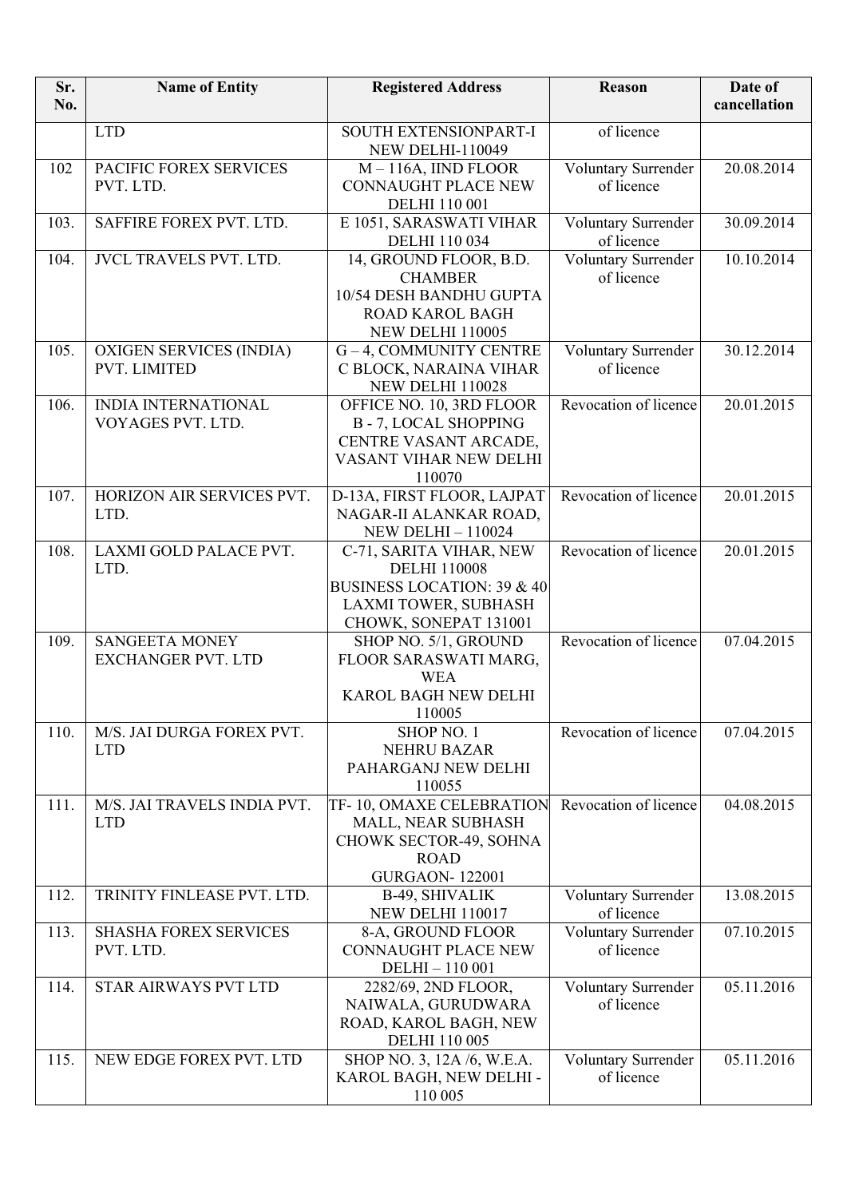| Sr.<br>No. | <b>Name of Entity</b>                              | <b>Registered Address</b>                                                                                                                | Reason                                   | Date of<br>cancellation |
|------------|----------------------------------------------------|------------------------------------------------------------------------------------------------------------------------------------------|------------------------------------------|-------------------------|
|            | <b>LTD</b>                                         | SOUTH EXTENSIONPART-I<br><b>NEW DELHI-110049</b>                                                                                         | of licence                               |                         |
| 102        | PACIFIC FOREX SERVICES<br>PVT. LTD.                | $M - 116A$ , IIND FLOOR<br><b>CONNAUGHT PLACE NEW</b><br>DELHI 110 001                                                                   | Voluntary Surrender<br>of licence        | 20.08.2014              |
| 103.       | SAFFIRE FOREX PVT. LTD.                            | E 1051, SARASWATI VIHAR<br><b>DELHI</b> 110 034                                                                                          | <b>Voluntary Surrender</b><br>of licence | 30.09.2014              |
| 104.       | <b>JVCL TRAVELS PVT. LTD.</b>                      | 14, GROUND FLOOR, B.D.<br><b>CHAMBER</b><br>10/54 DESH BANDHU GUPTA<br><b>ROAD KAROL BAGH</b><br>NEW DELHI 110005                        | Voluntary Surrender<br>of licence        | 10.10.2014              |
| 105.       | <b>OXIGEN SERVICES (INDIA)</b><br>PVT. LIMITED     | G-4, COMMUNITY CENTRE<br>C BLOCK, NARAINA VIHAR<br>NEW DELHI 110028                                                                      | Voluntary Surrender<br>of licence        | 30.12.2014              |
| 106.       | <b>INDIA INTERNATIONAL</b><br>VOYAGES PVT. LTD.    | OFFICE NO. 10, 3RD FLOOR<br><b>B-7, LOCAL SHOPPING</b><br>CENTRE VASANT ARCADE,<br>VASANT VIHAR NEW DELHI<br>110070                      | Revocation of licence                    | 20.01.2015              |
| 107.       | HORIZON AIR SERVICES PVT.<br>LTD.                  | D-13A, FIRST FLOOR, LAJPAT<br>NAGAR-II ALANKAR ROAD,<br><b>NEW DELHI-110024</b>                                                          | Revocation of licence                    | 20.01.2015              |
| 108.       | LAXMI GOLD PALACE PVT.<br>LTD.                     | C-71, SARITA VIHAR, NEW<br><b>DELHI 110008</b><br><b>BUSINESS LOCATION: 39 &amp; 40</b><br>LAXMI TOWER, SUBHASH<br>CHOWK, SONEPAT 131001 | Revocation of licence                    | 20.01.2015              |
| 109.       | <b>SANGEETA MONEY</b><br><b>EXCHANGER PVT. LTD</b> | SHOP NO. 5/1, GROUND<br>FLOOR SARASWATI MARG,<br><b>WEA</b><br>KAROL BAGH NEW DELHI<br>110005                                            | Revocation of licence                    | 07.04.2015              |
| 110.       | M/S. JAI DURGA FOREX PVT.<br><b>LTD</b>            | SHOP NO. 1<br><b>NEHRU BAZAR</b><br>PAHARGANJ NEW DELHI<br>110055                                                                        | Revocation of licence                    | 07.04.2015              |
| 111.       | M/S. JAI TRAVELS INDIA PVT.<br><b>LTD</b>          | TF-10, OMAXE CELEBRATION<br>MALL, NEAR SUBHASH<br>CHOWK SECTOR-49, SOHNA<br><b>ROAD</b><br><b>GURGAON-122001</b>                         | Revocation of licence                    | 04.08.2015              |
| 112.       | TRINITY FINLEASE PVT. LTD.                         | B-49, SHIVALIK<br>NEW DELHI 110017                                                                                                       | <b>Voluntary Surrender</b><br>of licence | 13.08.2015              |
| 113.       | <b>SHASHA FOREX SERVICES</b><br>PVT. LTD.          | 8-A, GROUND FLOOR<br><b>CONNAUGHT PLACE NEW</b><br>DELHI-110001                                                                          | Voluntary Surrender<br>of licence        | 07.10.2015              |
| 114.       | STAR AIRWAYS PVT LTD                               | 2282/69, 2ND FLOOR,<br>NAIWALA, GURUDWARA<br>ROAD, KAROL BAGH, NEW<br><b>DELHI 110 005</b>                                               | Voluntary Surrender<br>of licence        | 05.11.2016              |
| 115.       | NEW EDGE FOREX PVT. LTD                            | SHOP NO. 3, 12A /6, W.E.A.<br>KAROL BAGH, NEW DELHI -<br>110 005                                                                         | Voluntary Surrender<br>of licence        | 05.11.2016              |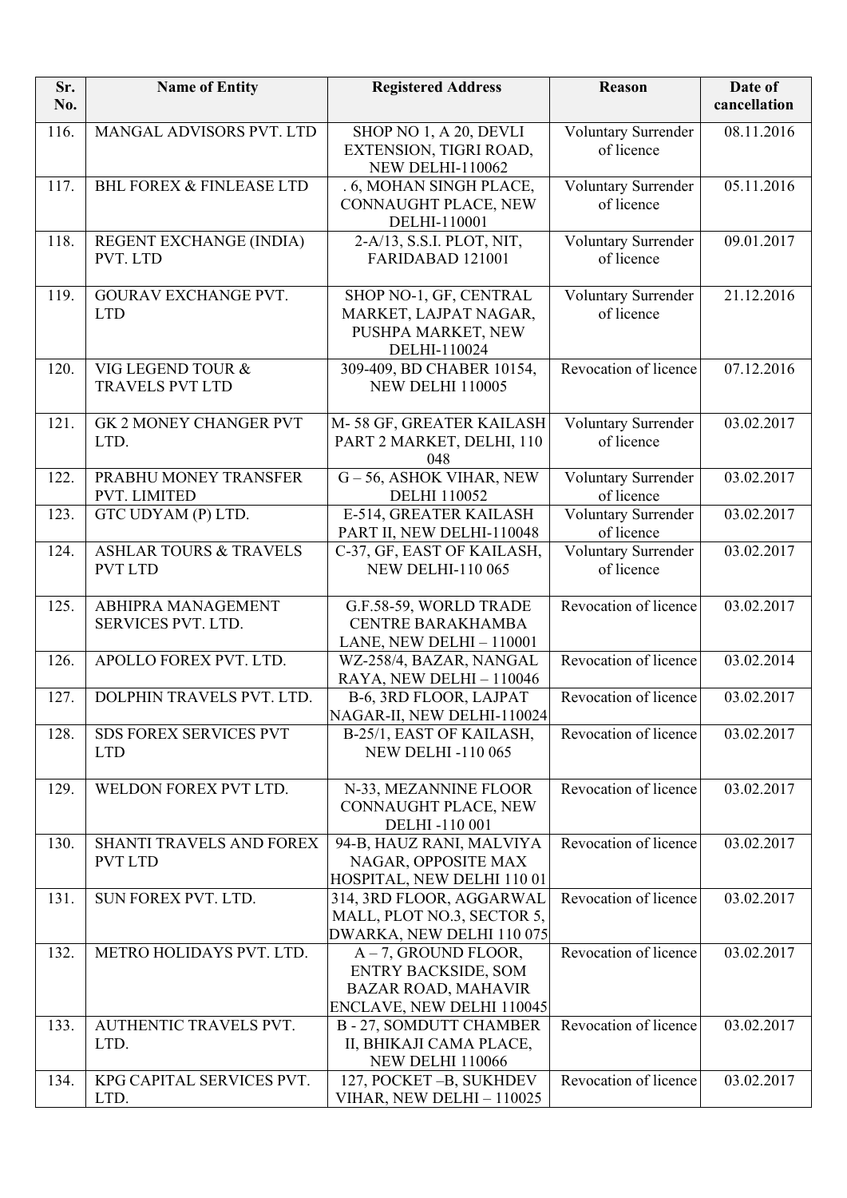| Sr.<br>No. | <b>Name of Entity</b>                               | <b>Registered Address</b>                                                                                        | Reason                            | Date of<br>cancellation |
|------------|-----------------------------------------------------|------------------------------------------------------------------------------------------------------------------|-----------------------------------|-------------------------|
| 116.       | MANGAL ADVISORS PVT. LTD                            | SHOP NO 1, A 20, DEVLI<br>EXTENSION, TIGRI ROAD,<br><b>NEW DELHI-110062</b>                                      | Voluntary Surrender<br>of licence | 08.11.2016              |
| 117.       | <b>BHL FOREX &amp; FINLEASE LTD</b>                 | .6, MOHAN SINGH PLACE,<br>CONNAUGHT PLACE, NEW<br>DELHI-110001                                                   | Voluntary Surrender<br>of licence | 05.11.2016              |
| 118.       | REGENT EXCHANGE (INDIA)<br>PVT. LTD                 | 2-A/13, S.S.I. PLOT, NIT,<br>FARIDABAD 121001                                                                    | Voluntary Surrender<br>of licence | 09.01.2017              |
| 119.       | GOURAV EXCHANGE PVT.<br><b>LTD</b>                  | SHOP NO-1, GF, CENTRAL<br>MARKET, LAJPAT NAGAR,<br>PUSHPA MARKET, NEW<br>DELHI-110024                            | Voluntary Surrender<br>of licence | 21.12.2016              |
| 120.       | VIG LEGEND TOUR &<br><b>TRAVELS PVT LTD</b>         | 309-409, BD CHABER 10154,<br><b>NEW DELHI 110005</b>                                                             | Revocation of licence             | 07.12.2016              |
| 121.       | <b>GK 2 MONEY CHANGER PVT</b><br>LTD.               | M-58 GF, GREATER KAILASH<br>PART 2 MARKET, DELHI, 110<br>048                                                     | Voluntary Surrender<br>of licence | 03.02.2017              |
| 122.       | PRABHU MONEY TRANSFER<br>PVT. LIMITED               | G-56, ASHOK VIHAR, NEW<br><b>DELHI 110052</b>                                                                    | Voluntary Surrender<br>of licence | 03.02.2017              |
| 123.       | GTC UDYAM (P) LTD.                                  | E-514, GREATER KAILASH<br>PART II, NEW DELHI-110048                                                              | Voluntary Surrender<br>of licence | 03.02.2017              |
| 124.       | <b>ASHLAR TOURS &amp; TRAVELS</b><br><b>PVT LTD</b> | C-37, GF, EAST OF KAILASH,<br><b>NEW DELHI-110 065</b>                                                           | Voluntary Surrender<br>of licence | 03.02.2017              |
| 125.       | ABHIPRA MANAGEMENT<br>SERVICES PVT. LTD.            | G.F.58-59, WORLD TRADE<br>CENTRE BARAKHAMBA<br>LANE, NEW DELHI - 110001                                          | Revocation of licence             | 03.02.2017              |
| 126.       | APOLLO FOREX PVT. LTD.                              | WZ-258/4, BAZAR, NANGAL<br>RAYA, NEW DELHI - 110046                                                              | Revocation of licence             | 03.02.2014              |
| 127.       | DOLPHIN TRAVELS PVT. LTD.                           | B-6, 3RD FLOOR, LAJPAT<br>NAGAR-II, NEW DELHI-110024                                                             | Revocation of licence             | 03.02.2017              |
| 128.       | <b>SDS FOREX SERVICES PVT</b><br><b>LTD</b>         | B-25/1, EAST OF KAILASH,<br><b>NEW DELHI-110 065</b>                                                             | Revocation of licence             | 03.02.2017              |
| 129.       | WELDON FOREX PVT LTD.                               | N-33, MEZANNINE FLOOR<br>CONNAUGHT PLACE, NEW<br>DELHI-110 001                                                   | Revocation of licence             | 03.02.2017              |
| 130.       | SHANTI TRAVELS AND FOREX<br><b>PVT LTD</b>          | 94-B, HAUZ RANI, MALVIYA<br>NAGAR, OPPOSITE MAX<br>HOSPITAL, NEW DELHI 110 01                                    | Revocation of licence             | 03.02.2017              |
| 131.       | SUN FOREX PVT. LTD.                                 | 314, 3RD FLOOR, AGGARWAL<br>MALL, PLOT NO.3, SECTOR 5,<br>DWARKA, NEW DELHI 110 075                              | Revocation of licence             | 03.02.2017              |
| 132.       | METRO HOLIDAYS PVT. LTD.                            | $A - 7$ , GROUND FLOOR,<br><b>ENTRY BACKSIDE, SOM</b><br><b>BAZAR ROAD, MAHAVIR</b><br>ENCLAVE, NEW DELHI 110045 | Revocation of licence             | 03.02.2017              |
| 133.       | AUTHENTIC TRAVELS PVT.<br>LTD.                      | <b>B-27, SOMDUTT CHAMBER</b><br>II, BHIKAJI CAMA PLACE,<br>NEW DELHI 110066                                      | Revocation of licence             | 03.02.2017              |
| 134.       | KPG CAPITAL SERVICES PVT.<br>LTD.                   | 127, POCKET-B, SUKHDEV<br>VIHAR, NEW DELHI - 110025                                                              | Revocation of licence             | 03.02.2017              |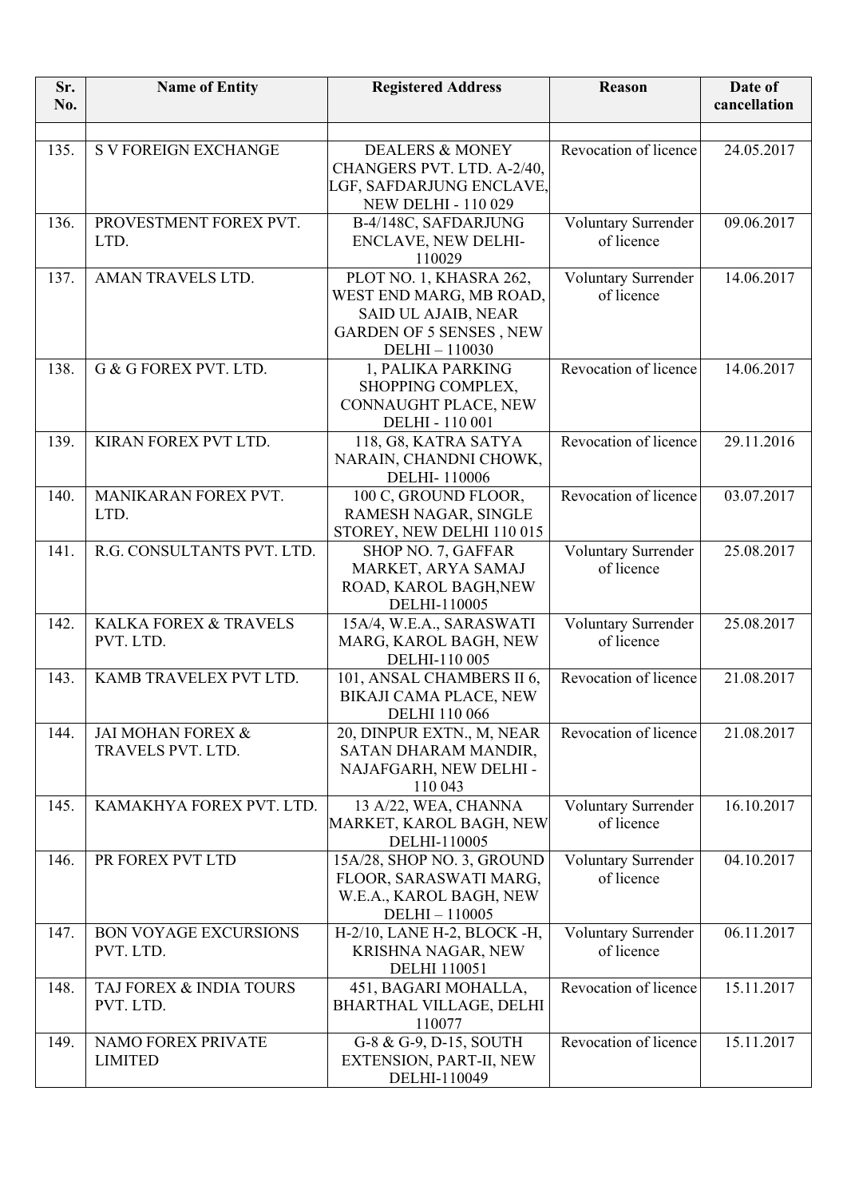| Sr.<br>No. | <b>Name of Entity</b>                     | <b>Registered Address</b>                         | Reason                            | Date of<br>cancellation |
|------------|-------------------------------------------|---------------------------------------------------|-----------------------------------|-------------------------|
|            |                                           |                                                   |                                   |                         |
| 135.       | <b>S V FOREIGN EXCHANGE</b>               | <b>DEALERS &amp; MONEY</b>                        | Revocation of licence             | 24.05.2017              |
|            |                                           | CHANGERS PVT. LTD. A-2/40,                        |                                   |                         |
|            |                                           | LGF, SAFDARJUNG ENCLAVE,                          |                                   |                         |
|            |                                           | <b>NEW DELHI - 110 029</b>                        |                                   |                         |
| 136.       | PROVESTMENT FOREX PVT.<br>LTD.            | B-4/148C, SAFDARJUNG<br>ENCLAVE, NEW DELHI-       | Voluntary Surrender<br>of licence | 09.06.2017              |
|            |                                           | 110029                                            |                                   |                         |
| 137.       | AMAN TRAVELS LTD.                         | PLOT NO. 1, KHASRA 262,                           | Voluntary Surrender               | 14.06.2017              |
|            |                                           | WEST END MARG, MB ROAD,                           | of licence                        |                         |
|            |                                           | <b>SAID UL AJAIB, NEAR</b>                        |                                   |                         |
|            |                                           | <b>GARDEN OF 5 SENSES, NEW</b>                    |                                   |                         |
|            |                                           | DELHI-110030                                      | Revocation of licence             |                         |
| 138.       | G & G FOREX PVT. LTD.                     | 1, PALIKA PARKING<br>SHOPPING COMPLEX,            |                                   | 14.06.2017              |
|            |                                           | CONNAUGHT PLACE, NEW                              |                                   |                         |
|            |                                           | DELHI - 110 001                                   |                                   |                         |
| 139.       | KIRAN FOREX PVT LTD.                      | 118, G8, KATRA SATYA                              | Revocation of licence             | 29.11.2016              |
|            |                                           | NARAIN, CHANDNI CHOWK,                            |                                   |                         |
|            |                                           | DELHI-110006                                      |                                   |                         |
| 140.       | MANIKARAN FOREX PVT.                      | 100 C, GROUND FLOOR,                              | Revocation of licence             | 03.07.2017              |
|            | LTD.                                      | RAMESH NAGAR, SINGLE<br>STOREY, NEW DELHI 110 015 |                                   |                         |
| 141.       | R.G. CONSULTANTS PVT. LTD.                | SHOP NO. 7, GAFFAR                                | Voluntary Surrender               | 25.08.2017              |
|            |                                           | MARKET, ARYA SAMAJ                                | of licence                        |                         |
|            |                                           | ROAD, KAROL BAGH, NEW                             |                                   |                         |
|            |                                           | DELHI-110005                                      |                                   |                         |
| 142.       | KALKA FOREX & TRAVELS                     | 15A/4, W.E.A., SARASWATI                          | Voluntary Surrender               | 25.08.2017              |
|            | PVT. LTD.                                 | MARG, KAROL BAGH, NEW                             | of licence                        |                         |
| 143.       | KAMB TRAVELEX PVT LTD.                    | DELHI-110 005<br>101, ANSAL CHAMBERS II 6,        | Revocation of licence             | 21.08.2017              |
|            |                                           | BIKAJI CAMA PLACE, NEW                            |                                   |                         |
|            |                                           | <b>DELHI</b> 110 066                              |                                   |                         |
| 144.       | JAI MOHAN FOREX &                         | 20, DINPUR EXTN., M, NEAR                         | Revocation of licence             | 21.08.2017              |
|            | TRAVELS PVT. LTD.                         | SATAN DHARAM MANDIR,                              |                                   |                         |
|            |                                           | NAJAFGARH, NEW DELHI -                            |                                   |                         |
|            |                                           | 110 043                                           |                                   |                         |
| 145.       | KAMAKHYA FOREX PVT. LTD.                  | 13 A/22, WEA, CHANNA<br>MARKET, KAROL BAGH, NEW   | Voluntary Surrender<br>of licence | 16.10.2017              |
|            |                                           | DELHI-110005                                      |                                   |                         |
| 146.       | PR FOREX PVT LTD                          | 15A/28, SHOP NO. 3, GROUND                        | Voluntary Surrender               | 04.10.2017              |
|            |                                           | FLOOR, SARASWATI MARG,                            | of licence                        |                         |
|            |                                           | W.E.A., KAROL BAGH, NEW                           |                                   |                         |
|            |                                           | DELHI-110005                                      |                                   |                         |
| 147.       | <b>BON VOYAGE EXCURSIONS</b><br>PVT. LTD. | H-2/10, LANE H-2, BLOCK -H,                       | Voluntary Surrender<br>of licence | 06.11.2017              |
|            |                                           | KRISHNA NAGAR, NEW<br><b>DELHI</b> 110051         |                                   |                         |
| 148.       | TAJ FOREX & INDIA TOURS                   | 451, BAGARI MOHALLA,                              | Revocation of licence             | 15.11.2017              |
|            | PVT. LTD.                                 | <b>BHARTHAL VILLAGE, DELHI</b>                    |                                   |                         |
|            |                                           | 110077                                            |                                   |                         |
| 149.       | NAMO FOREX PRIVATE                        | G-8 & G-9, D-15, SOUTH                            | Revocation of licence             | 15.11.2017              |
|            | <b>LIMITED</b>                            | EXTENSION, PART-II, NEW                           |                                   |                         |
|            |                                           | DELHI-110049                                      |                                   |                         |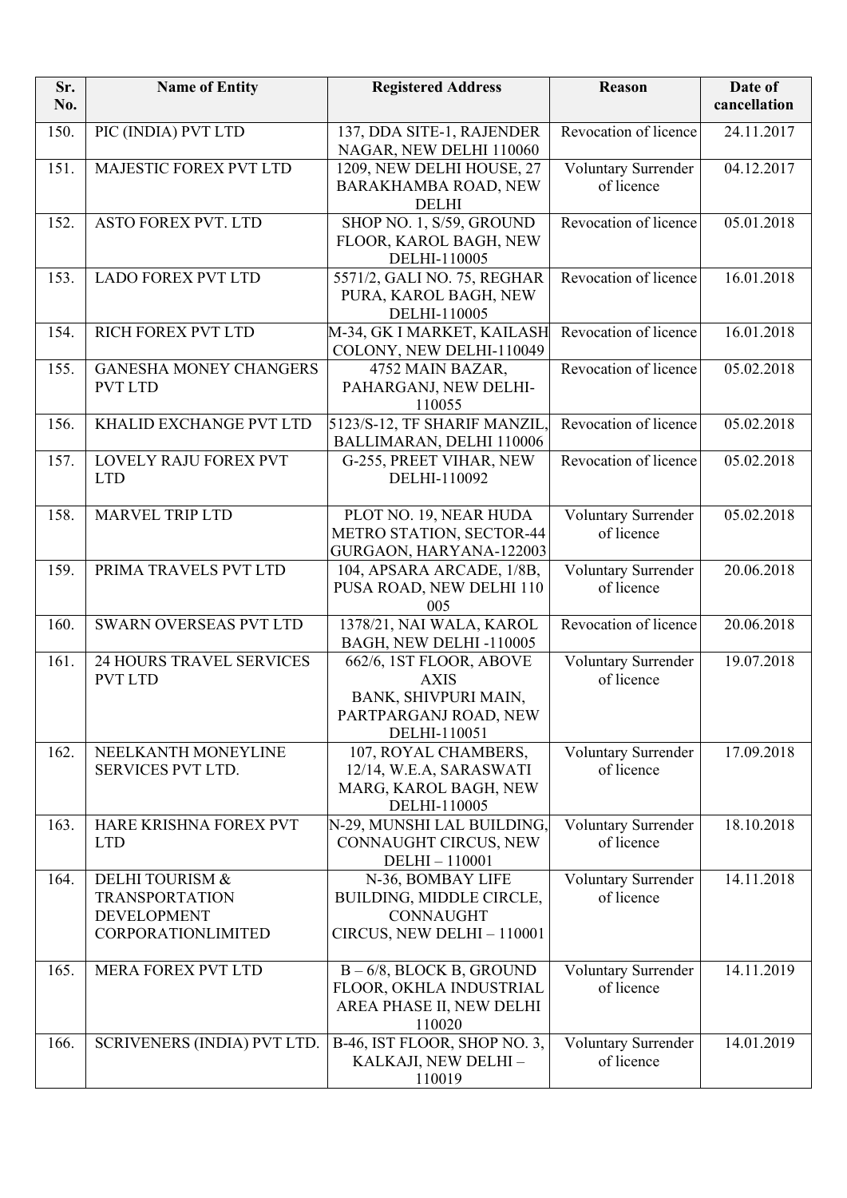| Sr.<br>No. | <b>Name of Entity</b>                                                                           | <b>Registered Address</b>                                                                               | Reason                            | Date of<br>cancellation |
|------------|-------------------------------------------------------------------------------------------------|---------------------------------------------------------------------------------------------------------|-----------------------------------|-------------------------|
| 150.       | PIC (INDIA) PVT LTD                                                                             | 137, DDA SITE-1, RAJENDER<br>NAGAR, NEW DELHI 110060                                                    | Revocation of licence             | 24.11.2017              |
| 151.       | MAJESTIC FOREX PVT LTD                                                                          | 1209, NEW DELHI HOUSE, 27<br>BARAKHAMBA ROAD, NEW<br><b>DELHI</b>                                       | Voluntary Surrender<br>of licence | 04.12.2017              |
| 152.       | <b>ASTO FOREX PVT. LTD</b>                                                                      | SHOP NO. 1, S/59, GROUND<br>FLOOR, KAROL BAGH, NEW<br>DELHI-110005                                      | Revocation of licence             | 05.01.2018              |
| 153.       | <b>LADO FOREX PVT LTD</b>                                                                       | 5571/2, GALI NO. 75, REGHAR<br>PURA, KAROL BAGH, NEW<br>DELHI-110005                                    | Revocation of licence             | 16.01.2018              |
| 154.       | <b>RICH FOREX PVT LTD</b>                                                                       | M-34, GK I MARKET, KAILASH<br>COLONY, NEW DELHI-110049                                                  | Revocation of licence             | 16.01.2018              |
| 155.       | <b>GANESHA MONEY CHANGERS</b><br><b>PVT LTD</b>                                                 | 4752 MAIN BAZAR,<br>PAHARGANJ, NEW DELHI-<br>110055                                                     | Revocation of licence             | 05.02.2018              |
| 156.       | KHALID EXCHANGE PVT LTD                                                                         | 5123/S-12, TF SHARIF MANZIL,<br>BALLIMARAN, DELHI 110006                                                | Revocation of licence             | 05.02.2018              |
| 157.       | LOVELY RAJU FOREX PVT<br><b>LTD</b>                                                             | G-255, PREET VIHAR, NEW<br>DELHI-110092                                                                 | Revocation of licence             | 05.02.2018              |
| 158.       | <b>MARVEL TRIP LTD</b>                                                                          | PLOT NO. 19, NEAR HUDA<br><b>METRO STATION, SECTOR-44</b><br>GURGAON, HARYANA-122003                    | Voluntary Surrender<br>of licence | 05.02.2018              |
| 159.       | PRIMA TRAVELS PVT LTD                                                                           | 104, APSARA ARCADE, 1/8B,<br>PUSA ROAD, NEW DELHI 110<br>005                                            | Voluntary Surrender<br>of licence | 20.06.2018              |
| 160.       | <b>SWARN OVERSEAS PVT LTD</b>                                                                   | 1378/21, NAI WALA, KAROL<br>BAGH, NEW DELHI-110005                                                      | Revocation of licence             | 20.06.2018              |
| 161.       | <b>24 HOURS TRAVEL SERVICES</b><br><b>PVT LTD</b>                                               | 662/6, 1ST FLOOR, ABOVE<br><b>AXIS</b><br>BANK, SHIVPURI MAIN,<br>PARTPARGANJ ROAD, NEW<br>DELHI-110051 | Voluntary Surrender<br>of licence | 19.07.2018              |
| 162.       | NEELKANTH MONEYLINE<br>SERVICES PVT LTD.                                                        | 107, ROYAL CHAMBERS,<br>12/14, W.E.A, SARASWATI<br>MARG, KAROL BAGH, NEW<br>DELHI-110005                | Voluntary Surrender<br>of licence | 17.09.2018              |
| 163.       | HARE KRISHNA FOREX PVT<br><b>LTD</b>                                                            | N-29, MUNSHI LAL BUILDING,<br>CONNAUGHT CIRCUS, NEW<br>DELHI-110001                                     | Voluntary Surrender<br>of licence | 18.10.2018              |
| 164.       | <b>DELHI TOURISM &amp;</b><br><b>TRANSPORTATION</b><br><b>DEVELOPMENT</b><br>CORPORATIONLIMITED | N-36, BOMBAY LIFE<br>BUILDING, MIDDLE CIRCLE,<br>CONNAUGHT<br>CIRCUS, NEW DELHI - 110001                | Voluntary Surrender<br>of licence | 14.11.2018              |
| 165.       | MERA FOREX PVT LTD                                                                              | $B - 6/8$ , BLOCK B, GROUND<br>FLOOR, OKHLA INDUSTRIAL<br>AREA PHASE II, NEW DELHI<br>110020            | Voluntary Surrender<br>of licence | 14.11.2019              |
| 166.       | SCRIVENERS (INDIA) PVT LTD.                                                                     | B-46, IST FLOOR, SHOP NO. 3,<br>KALKAJI, NEW DELHI -<br>110019                                          | Voluntary Surrender<br>of licence | 14.01.2019              |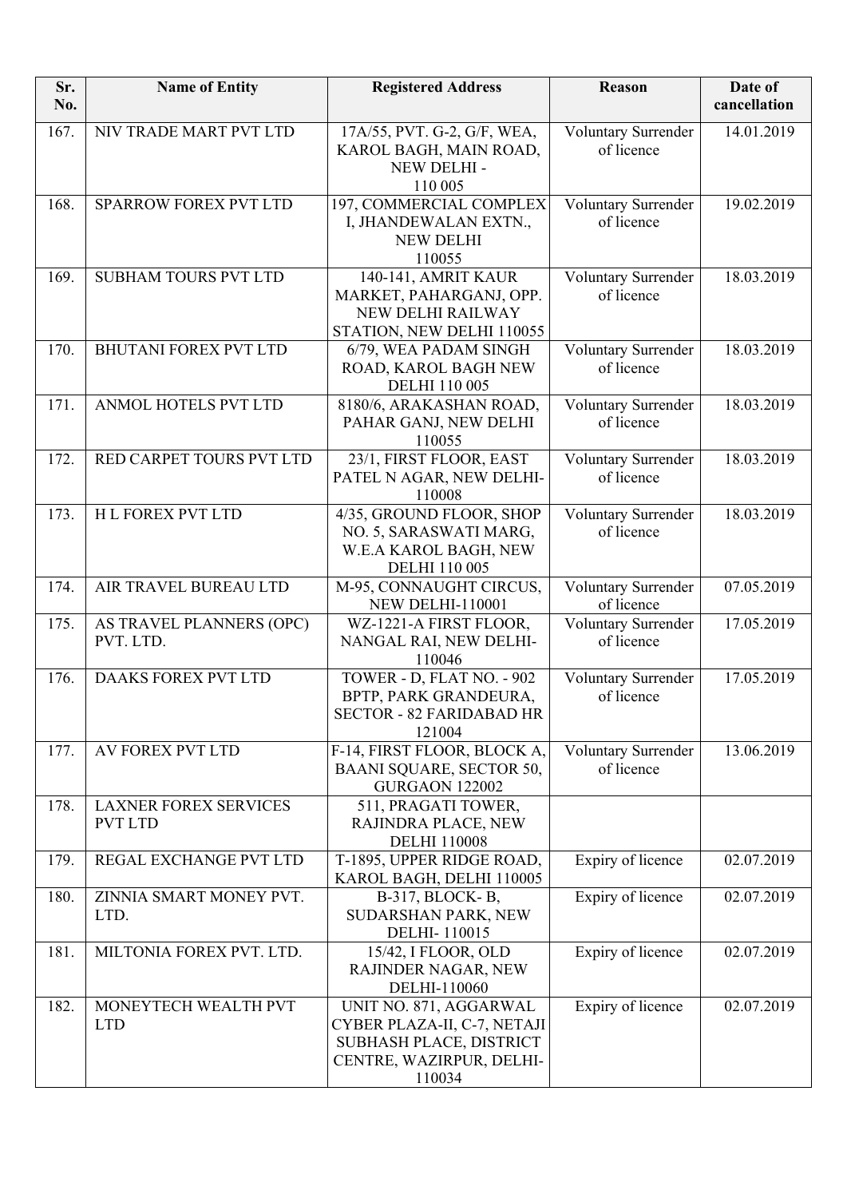| Sr.<br>No. | <b>Name of Entity</b>                          | <b>Registered Address</b>                                                                                              | Reason                            | Date of<br>cancellation |
|------------|------------------------------------------------|------------------------------------------------------------------------------------------------------------------------|-----------------------------------|-------------------------|
| 167.       | NIV TRADE MART PVT LTD                         | 17A/55, PVT. G-2, G/F, WEA,<br>KAROL BAGH, MAIN ROAD,<br>NEW DELHI -<br>110 005                                        | Voluntary Surrender<br>of licence | 14.01.2019              |
| 168.       | <b>SPARROW FOREX PVT LTD</b>                   | 197, COMMERCIAL COMPLEX<br>I, JHANDEWALAN EXTN.,<br><b>NEW DELHI</b><br>110055                                         | Voluntary Surrender<br>of licence | 19.02.2019              |
| 169.       | <b>SUBHAM TOURS PVT LTD</b>                    | 140-141, AMRIT KAUR<br>MARKET, PAHARGANJ, OPP.<br>NEW DELHI RAILWAY<br>STATION, NEW DELHI 110055                       | Voluntary Surrender<br>of licence | 18.03.2019              |
| 170.       | <b>BHUTANI FOREX PVT LTD</b>                   | 6/79, WEA PADAM SINGH<br>ROAD, KAROL BAGH NEW<br><b>DELHI 110 005</b>                                                  | Voluntary Surrender<br>of licence | 18.03.2019              |
| 171.       | ANMOL HOTELS PVT LTD                           | 8180/6, ARAKASHAN ROAD,<br>PAHAR GANJ, NEW DELHI<br>110055                                                             | Voluntary Surrender<br>of licence | 18.03.2019              |
| 172.       | RED CARPET TOURS PVT LTD                       | 23/1, FIRST FLOOR, EAST<br>PATEL N AGAR, NEW DELHI-<br>110008                                                          | Voluntary Surrender<br>of licence | 18.03.2019              |
| 173.       | <b>HL FOREX PVT LTD</b>                        | 4/35, GROUND FLOOR, SHOP<br>NO. 5, SARASWATI MARG,<br>W.E.A KAROL BAGH, NEW<br><b>DELHI 110 005</b>                    | Voluntary Surrender<br>of licence | 18.03.2019              |
| 174.       | AIR TRAVEL BUREAU LTD                          | M-95, CONNAUGHT CIRCUS,<br><b>NEW DELHI-110001</b>                                                                     | Voluntary Surrender<br>of licence | 07.05.2019              |
| 175.       | AS TRAVEL PLANNERS (OPC)<br>PVT. LTD.          | WZ-1221-A FIRST FLOOR,<br>NANGAL RAI, NEW DELHI-<br>110046                                                             | Voluntary Surrender<br>of licence | 17.05.2019              |
| 176.       | DAAKS FOREX PVT LTD                            | TOWER - D, FLAT NO. - 902<br>BPTP, PARK GRANDEURA,<br><b>SECTOR - 82 FARIDABAD HR</b><br>121004                        | Voluntary Surrender<br>of licence | 17.05.2019              |
| 177.       | <b>AV FOREX PVT LTD</b>                        | F-14, FIRST FLOOR, BLOCK A,<br>BAANI SQUARE, SECTOR 50,<br><b>GURGAON 122002</b>                                       | Voluntary Surrender<br>of licence | 13.06.2019              |
| 178.       | <b>LAXNER FOREX SERVICES</b><br><b>PVT LTD</b> | 511, PRAGATI TOWER,<br>RAJINDRA PLACE, NEW<br><b>DELHI 110008</b>                                                      |                                   |                         |
| 179.       | REGAL EXCHANGE PVT LTD                         | T-1895, UPPER RIDGE ROAD,<br>KAROL BAGH, DELHI 110005                                                                  | Expiry of licence                 | 02.07.2019              |
| 180.       | ZINNIA SMART MONEY PVT.<br>LTD.                | B-317, BLOCK-B,<br>SUDARSHAN PARK, NEW<br>DELHI-110015                                                                 | Expiry of licence                 | 02.07.2019              |
| 181.       | MILTONIA FOREX PVT. LTD.                       | 15/42, I FLOOR, OLD<br>RAJINDER NAGAR, NEW<br>DELHI-110060                                                             | Expiry of licence                 | 02.07.2019              |
| 182.       | MONEYTECH WEALTH PVT<br><b>LTD</b>             | UNIT NO. 871, AGGARWAL<br>CYBER PLAZA-II, C-7, NETAJI<br>SUBHASH PLACE, DISTRICT<br>CENTRE, WAZIRPUR, DELHI-<br>110034 | Expiry of licence                 | 02.07.2019              |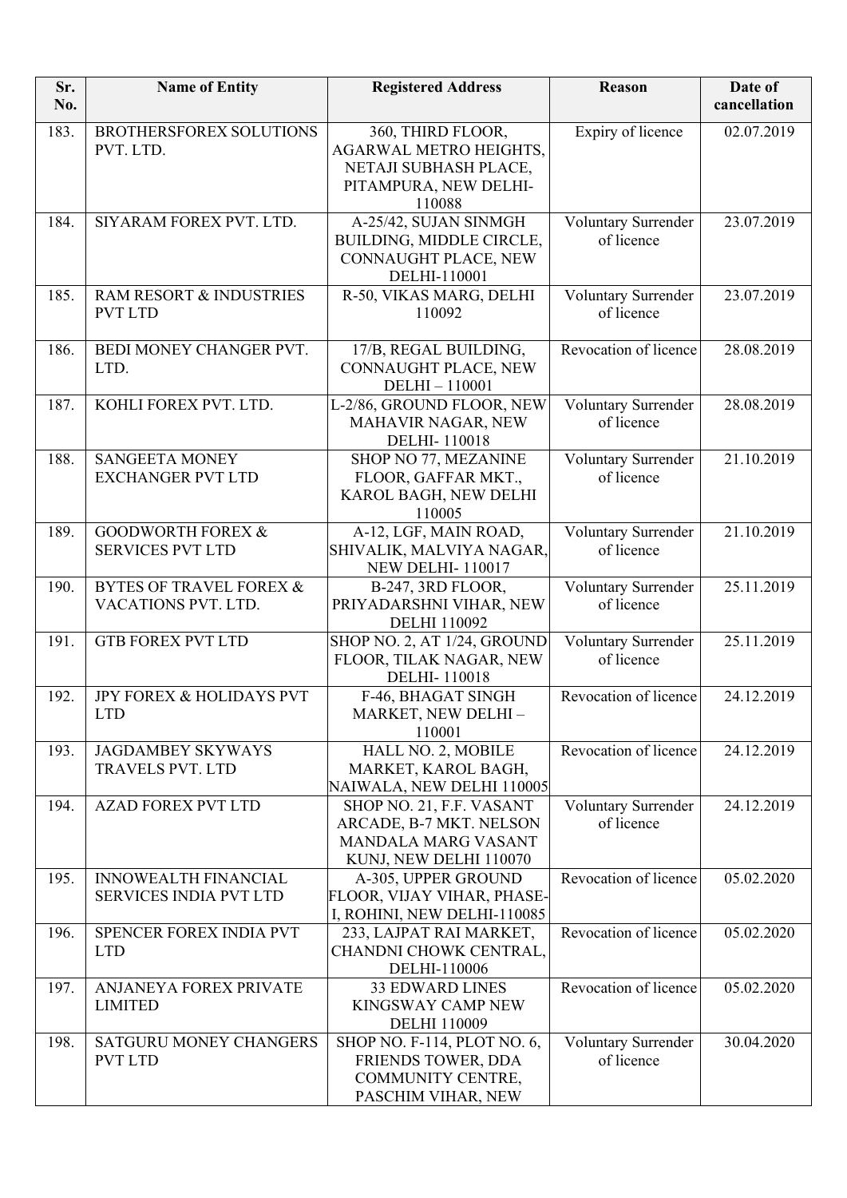| Sr.<br>No. | <b>Name of Entity</b>                                        | <b>Registered Address</b>                                                                                      | Reason                            | Date of<br>cancellation |
|------------|--------------------------------------------------------------|----------------------------------------------------------------------------------------------------------------|-----------------------------------|-------------------------|
| 183.       | <b>BROTHERSFOREX SOLUTIONS</b><br>PVT. LTD.                  | 360, THIRD FLOOR,<br><b>AGARWAL METRO HEIGHTS,</b><br>NETAJI SUBHASH PLACE,<br>PITAMPURA, NEW DELHI-<br>110088 | Expiry of licence                 | 02.07.2019              |
| 184.       | SIYARAM FOREX PVT. LTD.                                      | A-25/42, SUJAN SINMGH<br>BUILDING, MIDDLE CIRCLE,<br>CONNAUGHT PLACE, NEW<br>DELHI-110001                      | Voluntary Surrender<br>of licence | 23.07.2019              |
| 185.       | RAM RESORT & INDUSTRIES<br><b>PVT LTD</b>                    | R-50, VIKAS MARG, DELHI<br>110092                                                                              | Voluntary Surrender<br>of licence | 23.07.2019              |
| 186.       | <b>BEDI MONEY CHANGER PVT.</b><br>LTD.                       | 17/B, REGAL BUILDING,<br>CONNAUGHT PLACE, NEW<br>DELHI-110001                                                  | Revocation of licence             | 28.08.2019              |
| 187.       | KOHLI FOREX PVT. LTD.                                        | L-2/86, GROUND FLOOR, NEW<br>MAHAVIR NAGAR, NEW<br><b>DELHI-110018</b>                                         | Voluntary Surrender<br>of licence | 28.08.2019              |
| 188.       | <b>SANGEETA MONEY</b><br><b>EXCHANGER PVT LTD</b>            | SHOP NO 77, MEZANINE<br>FLOOR, GAFFAR MKT.,<br>KAROL BAGH, NEW DELHI<br>110005                                 | Voluntary Surrender<br>of licence | 21.10.2019              |
| 189.       | <b>GOODWORTH FOREX &amp;</b><br><b>SERVICES PVT LTD</b>      | A-12, LGF, MAIN ROAD,<br>SHIVALIK, MALVIYA NAGAR,<br><b>NEW DELHI-110017</b>                                   | Voluntary Surrender<br>of licence | 21.10.2019              |
| 190.       | <b>BYTES OF TRAVEL FOREX &amp;</b><br>VACATIONS PVT. LTD.    | B-247, 3RD FLOOR,<br>PRIYADARSHNI VIHAR, NEW<br><b>DELHI 110092</b>                                            | Voluntary Surrender<br>of licence | 25.11.2019              |
| 191.       | <b>GTB FOREX PVT LTD</b>                                     | SHOP NO. 2, AT 1/24, GROUND<br>FLOOR, TILAK NAGAR, NEW<br>DELHI-110018                                         | Voluntary Surrender<br>of licence | 25.11.2019              |
| 192.       | JPY FOREX & HOLIDAYS PVT<br><b>LTD</b>                       | F-46, BHAGAT SINGH<br>MARKET, NEW DELHI-<br>110001                                                             | Revocation of licence             | 24.12.2019              |
| 193.       | <b>JAGDAMBEY SKYWAYS</b><br><b>TRAVELS PVT. LTD</b>          | HALL NO. 2, MOBILE<br>MARKET, KAROL BAGH,<br>NAIWALA, NEW DELHI 110005                                         | Revocation of licence             | 24.12.2019              |
| 194.       | <b>AZAD FOREX PVT LTD</b>                                    | SHOP NO. 21, F.F. VASANT<br>ARCADE, B-7 MKT. NELSON<br>MANDALA MARG VASANT<br>KUNJ, NEW DELHI 110070           | Voluntary Surrender<br>of licence | 24.12.2019              |
| 195.       | <b>INNOWEALTH FINANCIAL</b><br><b>SERVICES INDIA PVT LTD</b> | A-305, UPPER GROUND<br>FLOOR, VIJAY VIHAR, PHASE-<br>I, ROHINI, NEW DELHI-110085                               | Revocation of licence             | 05.02.2020              |
| 196.       | SPENCER FOREX INDIA PVT<br><b>LTD</b>                        | 233, LAJPAT RAI MARKET,<br>CHANDNI CHOWK CENTRAL,<br>DELHI-110006                                              | Revocation of licence             | 05.02.2020              |
| 197.       | ANJANEYA FOREX PRIVATE<br><b>LIMITED</b>                     | <b>33 EDWARD LINES</b><br>KINGSWAY CAMP NEW<br><b>DELHI 110009</b>                                             | Revocation of licence             | 05.02.2020              |
| 198.       | SATGURU MONEY CHANGERS<br><b>PVT LTD</b>                     | SHOP NO. F-114, PLOT NO. 6,<br>FRIENDS TOWER, DDA<br>COMMUNITY CENTRE,<br>PASCHIM VIHAR, NEW                   | Voluntary Surrender<br>of licence | 30.04.2020              |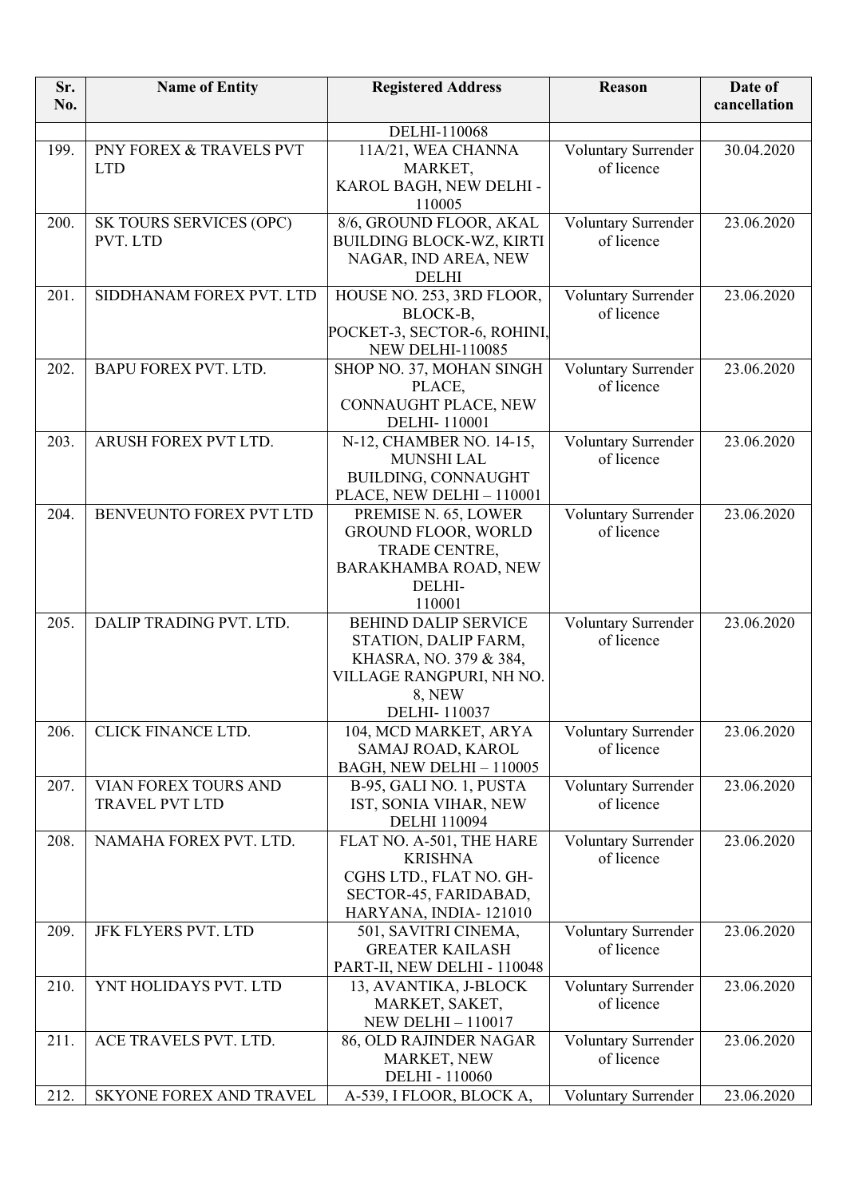| DELHI-110068<br>PNY FOREX & TRAVELS PVT<br>11A/21, WEA CHANNA<br>Voluntary Surrender<br>199.<br><b>LTD</b><br>of licence<br>MARKET,<br>KAROL BAGH, NEW DELHI -<br>110005<br>8/6, GROUND FLOOR, AKAL<br>Voluntary Surrender<br>200.<br>SK TOURS SERVICES (OPC)<br><b>BUILDING BLOCK-WZ, KIRTI</b><br>of licence<br>PVT. LTD<br>NAGAR, IND AREA, NEW | 30.04.2020<br>23.06.2020<br>23.06.2020<br>23.06.2020 |
|----------------------------------------------------------------------------------------------------------------------------------------------------------------------------------------------------------------------------------------------------------------------------------------------------------------------------------------------------|------------------------------------------------------|
|                                                                                                                                                                                                                                                                                                                                                    |                                                      |
|                                                                                                                                                                                                                                                                                                                                                    |                                                      |
|                                                                                                                                                                                                                                                                                                                                                    |                                                      |
|                                                                                                                                                                                                                                                                                                                                                    |                                                      |
|                                                                                                                                                                                                                                                                                                                                                    |                                                      |
| <b>DELHI</b>                                                                                                                                                                                                                                                                                                                                       |                                                      |
| HOUSE NO. 253, 3RD FLOOR,<br>Voluntary Surrender<br>201.<br>SIDDHANAM FOREX PVT. LTD<br>of licence<br>BLOCK-B,                                                                                                                                                                                                                                     |                                                      |
| POCKET-3, SECTOR-6, ROHINI,<br><b>NEW DELHI-110085</b>                                                                                                                                                                                                                                                                                             |                                                      |
| BAPU FOREX PVT. LTD.<br>202.<br>SHOP NO. 37, MOHAN SINGH<br>Voluntary Surrender                                                                                                                                                                                                                                                                    |                                                      |
| of licence<br>PLACE,                                                                                                                                                                                                                                                                                                                               |                                                      |
| CONNAUGHT PLACE, NEW                                                                                                                                                                                                                                                                                                                               |                                                      |
| DELHI-110001                                                                                                                                                                                                                                                                                                                                       |                                                      |
| 203.<br>ARUSH FOREX PVT LTD.<br>N-12, CHAMBER NO. 14-15,<br>Voluntary Surrender<br>of licence<br><b>MUNSHI LAL</b>                                                                                                                                                                                                                                 | 23.06.2020                                           |
| BUILDING, CONNAUGHT                                                                                                                                                                                                                                                                                                                                |                                                      |
| PLACE, NEW DELHI - 110001                                                                                                                                                                                                                                                                                                                          |                                                      |
| BENVEUNTO FOREX PVT LTD<br>Voluntary Surrender<br>204.<br>PREMISE N. 65, LOWER<br>of licence<br><b>GROUND FLOOR, WORLD</b>                                                                                                                                                                                                                         | 23.06.2020                                           |
| TRADE CENTRE,                                                                                                                                                                                                                                                                                                                                      |                                                      |
| BARAKHAMBA ROAD, NEW                                                                                                                                                                                                                                                                                                                               |                                                      |
| DELHI-                                                                                                                                                                                                                                                                                                                                             |                                                      |
| 110001                                                                                                                                                                                                                                                                                                                                             |                                                      |
| 205.<br>DALIP TRADING PVT. LTD.<br><b>BEHIND DALIP SERVICE</b><br>Voluntary Surrender                                                                                                                                                                                                                                                              | 23.06.2020                                           |
| of licence<br>STATION, DALIP FARM,                                                                                                                                                                                                                                                                                                                 |                                                      |
| KHASRA, NO. 379 & 384,<br>VILLAGE RANGPURI, NH NO.                                                                                                                                                                                                                                                                                                 |                                                      |
| 8, NEW                                                                                                                                                                                                                                                                                                                                             |                                                      |
| DELHI-110037                                                                                                                                                                                                                                                                                                                                       |                                                      |
| 206.<br>CLICK FINANCE LTD.<br>Voluntary Surrender<br>104, MCD MARKET, ARYA                                                                                                                                                                                                                                                                         | 23.06.2020                                           |
| of licence<br>SAMAJ ROAD, KAROL                                                                                                                                                                                                                                                                                                                    |                                                      |
| BAGH, NEW DELHI - 110005                                                                                                                                                                                                                                                                                                                           |                                                      |
| VIAN FOREX TOURS AND<br>Voluntary Surrender<br>207.<br>B-95, GALI NO. 1, PUSTA<br><b>TRAVEL PVT LTD</b><br>IST, SONIA VIHAR, NEW<br>of licence                                                                                                                                                                                                     | 23.06.2020                                           |
| <b>DELHI 110094</b>                                                                                                                                                                                                                                                                                                                                |                                                      |
| 208.<br>NAMAHA FOREX PVT. LTD.<br>Voluntary Surrender<br>FLAT NO. A-501, THE HARE                                                                                                                                                                                                                                                                  | 23.06.2020                                           |
| <b>KRISHNA</b><br>of licence                                                                                                                                                                                                                                                                                                                       |                                                      |
| CGHS LTD., FLAT NO. GH-                                                                                                                                                                                                                                                                                                                            |                                                      |
| SECTOR-45, FARIDABAD,                                                                                                                                                                                                                                                                                                                              |                                                      |
| HARYANA, INDIA-121010<br>Voluntary Surrender<br>209.<br>JFK FLYERS PVT. LTD<br>501, SAVITRI CINEMA,                                                                                                                                                                                                                                                | 23.06.2020                                           |
| <b>GREATER KAILASH</b><br>of licence                                                                                                                                                                                                                                                                                                               |                                                      |
| PART-II, NEW DELHI - 110048                                                                                                                                                                                                                                                                                                                        |                                                      |
| 210.<br>YNT HOLIDAYS PVT. LTD<br>Voluntary Surrender<br>13, AVANTIKA, J-BLOCK                                                                                                                                                                                                                                                                      | 23.06.2020                                           |
| MARKET, SAKET,<br>of licence                                                                                                                                                                                                                                                                                                                       |                                                      |
| <b>NEW DELHI-110017</b>                                                                                                                                                                                                                                                                                                                            |                                                      |
| Voluntary Surrender<br>211.<br>ACE TRAVELS PVT. LTD.<br>86, OLD RAJINDER NAGAR                                                                                                                                                                                                                                                                     | 23.06.2020                                           |
| MARKET, NEW<br>of licence<br>DELHI - 110060                                                                                                                                                                                                                                                                                                        |                                                      |
| SKYONE FOREX AND TRAVEL<br>212.<br>A-539, I FLOOR, BLOCK A,<br>Voluntary Surrender                                                                                                                                                                                                                                                                 | 23.06.2020                                           |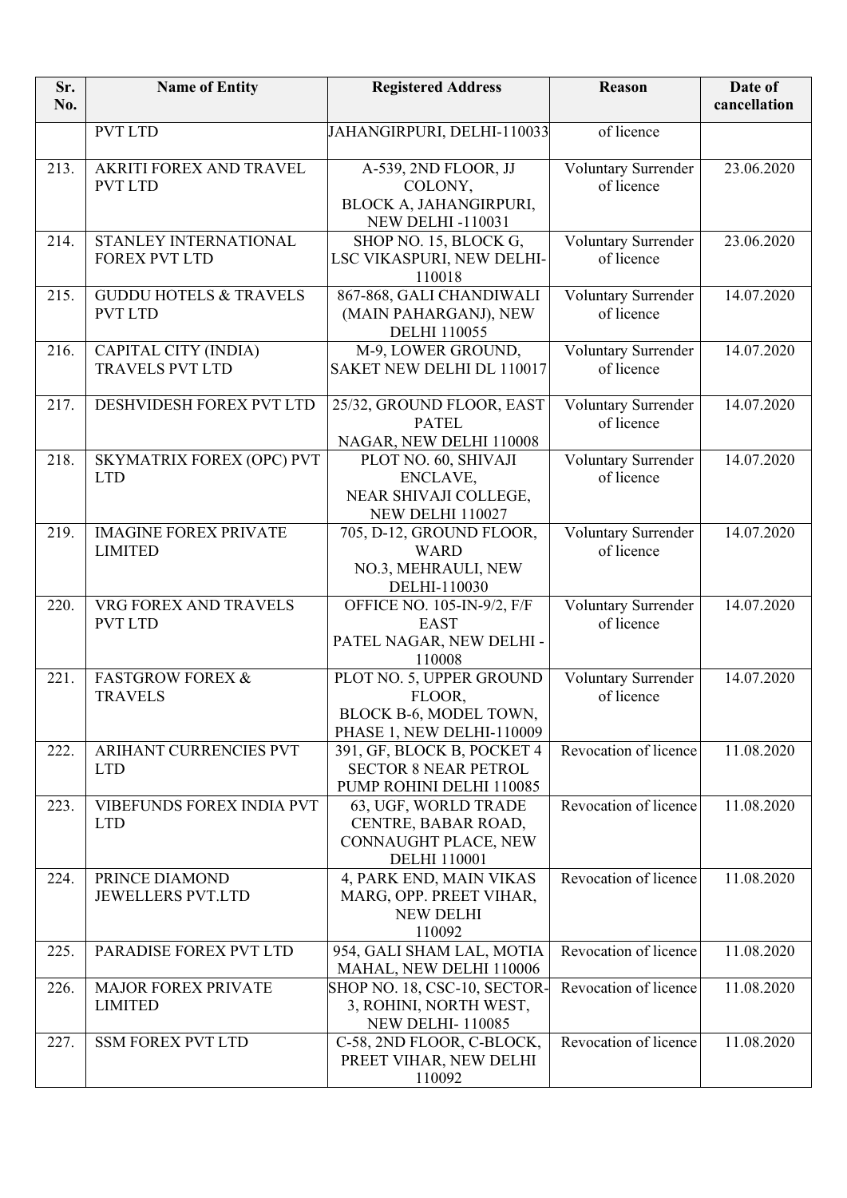| Sr.<br>No. | <b>Name of Entity</b>                               | <b>Registered Address</b>                                                                  | <b>Reason</b>                     | Date of<br>cancellation |
|------------|-----------------------------------------------------|--------------------------------------------------------------------------------------------|-----------------------------------|-------------------------|
|            | <b>PVT LTD</b>                                      | JAHANGIRPURI, DELHI-110033                                                                 | of licence                        |                         |
| 213.       | AKRITI FOREX AND TRAVEL<br><b>PVT LTD</b>           | A-539, 2ND FLOOR, JJ<br>COLONY,<br>BLOCK A, JAHANGIRPURI,<br><b>NEW DELHI-110031</b>       | Voluntary Surrender<br>of licence | 23.06.2020              |
| 214.       | STANLEY INTERNATIONAL<br><b>FOREX PVT LTD</b>       | SHOP NO. 15, BLOCK G,<br>LSC VIKASPURI, NEW DELHI-<br>110018                               | Voluntary Surrender<br>of licence | 23.06.2020              |
| 215.       | <b>GUDDU HOTELS &amp; TRAVELS</b><br><b>PVT LTD</b> | 867-868, GALI CHANDIWALI<br>(MAIN PAHARGANJ), NEW<br><b>DELHI 110055</b>                   | Voluntary Surrender<br>of licence | 14.07.2020              |
| 216.       | CAPITAL CITY (INDIA)<br><b>TRAVELS PVT LTD</b>      | M-9, LOWER GROUND,<br>SAKET NEW DELHI DL 110017                                            | Voluntary Surrender<br>of licence | 14.07.2020              |
| 217.       | DESHVIDESH FOREX PVT LTD                            | 25/32, GROUND FLOOR, EAST<br><b>PATEL</b><br>NAGAR, NEW DELHI 110008                       | Voluntary Surrender<br>of licence | 14.07.2020              |
| 218.       | SKYMATRIX FOREX (OPC) PVT<br><b>LTD</b>             | PLOT NO. 60, SHIVAJI<br>ENCLAVE,<br>NEAR SHIVAJI COLLEGE,<br>NEW DELHI 110027              | Voluntary Surrender<br>of licence | 14.07.2020              |
| 219.       | <b>IMAGINE FOREX PRIVATE</b><br><b>LIMITED</b>      | 705, D-12, GROUND FLOOR,<br><b>WARD</b><br>NO.3, MEHRAULI, NEW<br>DELHI-110030             | Voluntary Surrender<br>of licence | 14.07.2020              |
| 220.       | VRG FOREX AND TRAVELS<br><b>PVT LTD</b>             | OFFICE NO. 105-IN-9/2, F/F<br><b>EAST</b><br>PATEL NAGAR, NEW DELHI -<br>110008            | Voluntary Surrender<br>of licence | 14.07.2020              |
| 221.       | <b>FASTGROW FOREX &amp;</b><br><b>TRAVELS</b>       | PLOT NO. 5, UPPER GROUND<br>FLOOR.<br>BLOCK B-6, MODEL TOWN,<br>PHASE 1, NEW DELHI-110009  | Voluntary Surrender<br>of licence | 14.07.2020              |
| 222.       | <b>ARIHANT CURRENCIES PVT</b><br><b>LTD</b>         | 391, GF, BLOCK B, POCKET 4<br><b>SECTOR 8 NEAR PETROL</b><br>PUMP ROHINI DELHI 110085      | Revocation of licence             | 11.08.2020              |
| 223.       | VIBEFUNDS FOREX INDIA PVT<br><b>LTD</b>             | 63, UGF, WORLD TRADE<br>CENTRE, BABAR ROAD,<br>CONNAUGHT PLACE, NEW<br><b>DELHI</b> 110001 | Revocation of licence             | 11.08.2020              |
| 224.       | PRINCE DIAMOND<br><b>JEWELLERS PVT.LTD</b>          | 4, PARK END, MAIN VIKAS<br>MARG, OPP. PREET VIHAR,<br><b>NEW DELHI</b><br>110092           | Revocation of licence             | 11.08.2020              |
| 225.       | PARADISE FOREX PVT LTD                              | 954, GALI SHAM LAL, MOTIA<br>MAHAL, NEW DELHI 110006                                       | Revocation of licence             | 11.08.2020              |
| 226.       | <b>MAJOR FOREX PRIVATE</b><br><b>LIMITED</b>        | SHOP NO. 18, CSC-10, SECTOR-<br>3, ROHINI, NORTH WEST,<br><b>NEW DELHI-110085</b>          | Revocation of licence             | 11.08.2020              |
| 227.       | <b>SSM FOREX PVT LTD</b>                            | C-58, 2ND FLOOR, C-BLOCK,<br>PREET VIHAR, NEW DELHI<br>110092                              | Revocation of licence             | 11.08.2020              |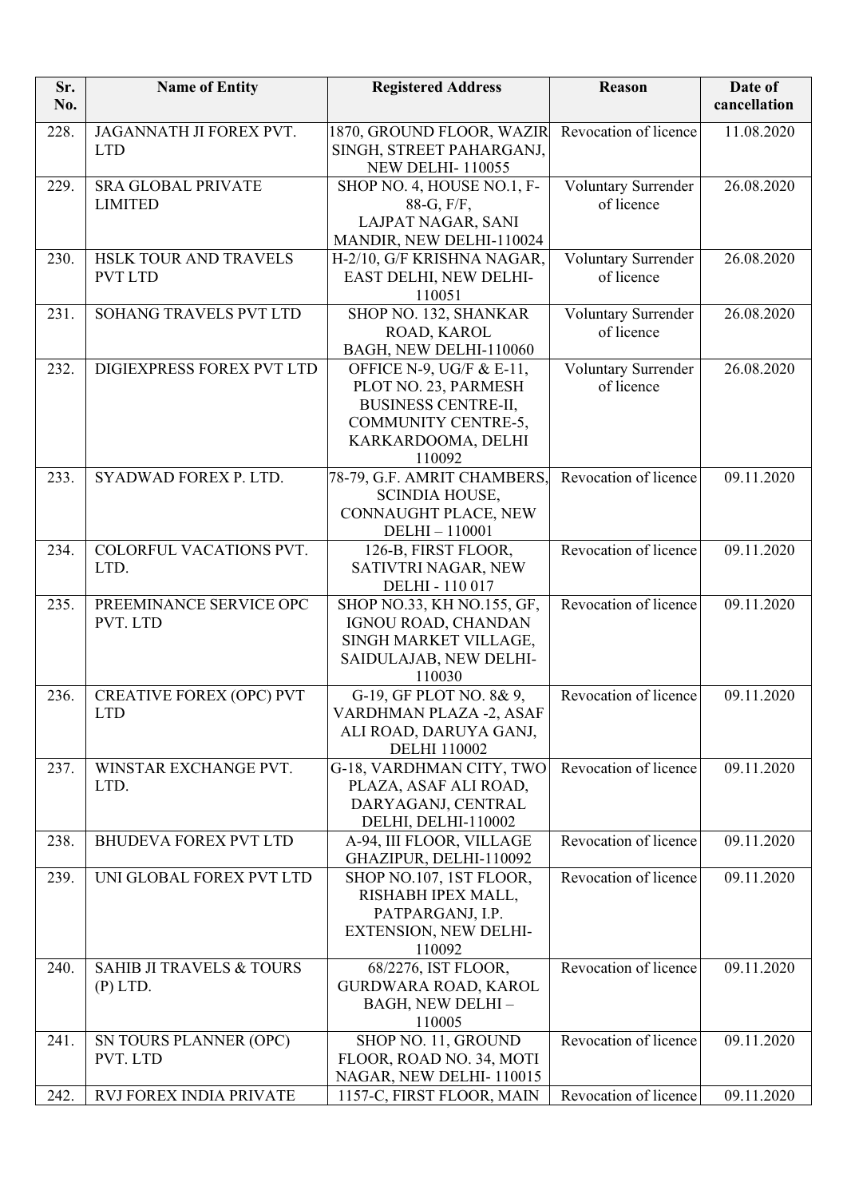| Sr.<br>No. | <b>Name of Entity</b>                             | <b>Registered Address</b>                                                                                                             | Reason                            | Date of<br>cancellation |
|------------|---------------------------------------------------|---------------------------------------------------------------------------------------------------------------------------------------|-----------------------------------|-------------------------|
| 228.       | JAGANNATH JI FOREX PVT.<br><b>LTD</b>             | 1870, GROUND FLOOR, WAZIR<br>SINGH, STREET PAHARGANJ,<br><b>NEW DELHI-110055</b>                                                      | Revocation of licence             | 11.08.2020              |
| 229.       | <b>SRA GLOBAL PRIVATE</b><br><b>LIMITED</b>       | SHOP NO. 4, HOUSE NO.1, F-<br>88-G, F/F,<br>LAJPAT NAGAR, SANI<br>MANDIR, NEW DELHI-110024                                            | Voluntary Surrender<br>of licence | 26.08.2020              |
| 230.       | HSLK TOUR AND TRAVELS<br><b>PVT LTD</b>           | H-2/10, G/F KRISHNA NAGAR,<br>EAST DELHI, NEW DELHI-<br>110051                                                                        | Voluntary Surrender<br>of licence | 26.08.2020              |
| 231.       | SOHANG TRAVELS PVT LTD                            | SHOP NO. 132, SHANKAR<br>ROAD, KAROL<br>BAGH, NEW DELHI-110060                                                                        | Voluntary Surrender<br>of licence | 26.08.2020              |
| 232.       | DIGIEXPRESS FOREX PVT LTD                         | OFFICE N-9, UG/F & E-11,<br>PLOT NO. 23, PARMESH<br><b>BUSINESS CENTRE-II,</b><br>COMMUNITY CENTRE-5,<br>KARKARDOOMA, DELHI<br>110092 | Voluntary Surrender<br>of licence | 26.08.2020              |
| 233.       | SYADWAD FOREX P. LTD.                             | 78-79, G.F. AMRIT CHAMBERS,<br><b>SCINDIA HOUSE,</b><br>CONNAUGHT PLACE, NEW<br>DELHI-110001                                          | Revocation of licence             | 09.11.2020              |
| 234.       | COLORFUL VACATIONS PVT.<br>LTD.                   | 126-B, FIRST FLOOR,<br>SATIVTRI NAGAR, NEW<br>DELHI - 110 017                                                                         | Revocation of licence             | 09.11.2020              |
| 235.       | PREEMINANCE SERVICE OPC<br>PVT. LTD               | SHOP NO.33, KH NO.155, GF,<br>IGNOU ROAD, CHANDAN<br>SINGH MARKET VILLAGE,<br>SAIDULAJAB, NEW DELHI-<br>110030                        | Revocation of licence             | 09.11.2020              |
| 236.       | <b>CREATIVE FOREX (OPC) PVT</b><br><b>LTD</b>     | G-19, GF PLOT NO. 8& 9,<br>VARDHMAN PLAZA -2, ASAF<br>ALI ROAD, DARUYA GANJ,<br><b>DELHI 110002</b>                                   | Revocation of licence             | 09.11.2020              |
| 237.       | WINSTAR EXCHANGE PVT.<br>LTD.                     | G-18, VARDHMAN CITY, TWO<br>PLAZA, ASAF ALI ROAD,<br>DARYAGANJ, CENTRAL<br>DELHI, DELHI-110002                                        | Revocation of licence             | 09.11.2020              |
| 238.       | <b>BHUDEVA FOREX PVT LTD</b>                      | A-94, III FLOOR, VILLAGE<br>GHAZIPUR, DELHI-110092                                                                                    | Revocation of licence             | 09.11.2020              |
| 239.       | UNI GLOBAL FOREX PVT LTD                          | SHOP NO.107, 1ST FLOOR,<br>RISHABH IPEX MALL,<br>PATPARGANJ, I.P.<br>EXTENSION, NEW DELHI-<br>110092                                  | Revocation of licence             | 09.11.2020              |
| 240.       | <b>SAHIB JI TRAVELS &amp; TOURS</b><br>$(P)$ LTD. | 68/2276, IST FLOOR,<br><b>GURDWARA ROAD, KAROL</b><br>BAGH, NEW DELHI-<br>110005                                                      | Revocation of licence             | 09.11.2020              |
| 241.       | SN TOURS PLANNER (OPC)<br>PVT. LTD                | SHOP NO. 11, GROUND<br>FLOOR, ROAD NO. 34, MOTI<br>NAGAR, NEW DELHI-110015                                                            | Revocation of licence             | 09.11.2020              |
| 242.       | RVJ FOREX INDIA PRIVATE                           | 1157-C, FIRST FLOOR, MAIN                                                                                                             | Revocation of licence             | 09.11.2020              |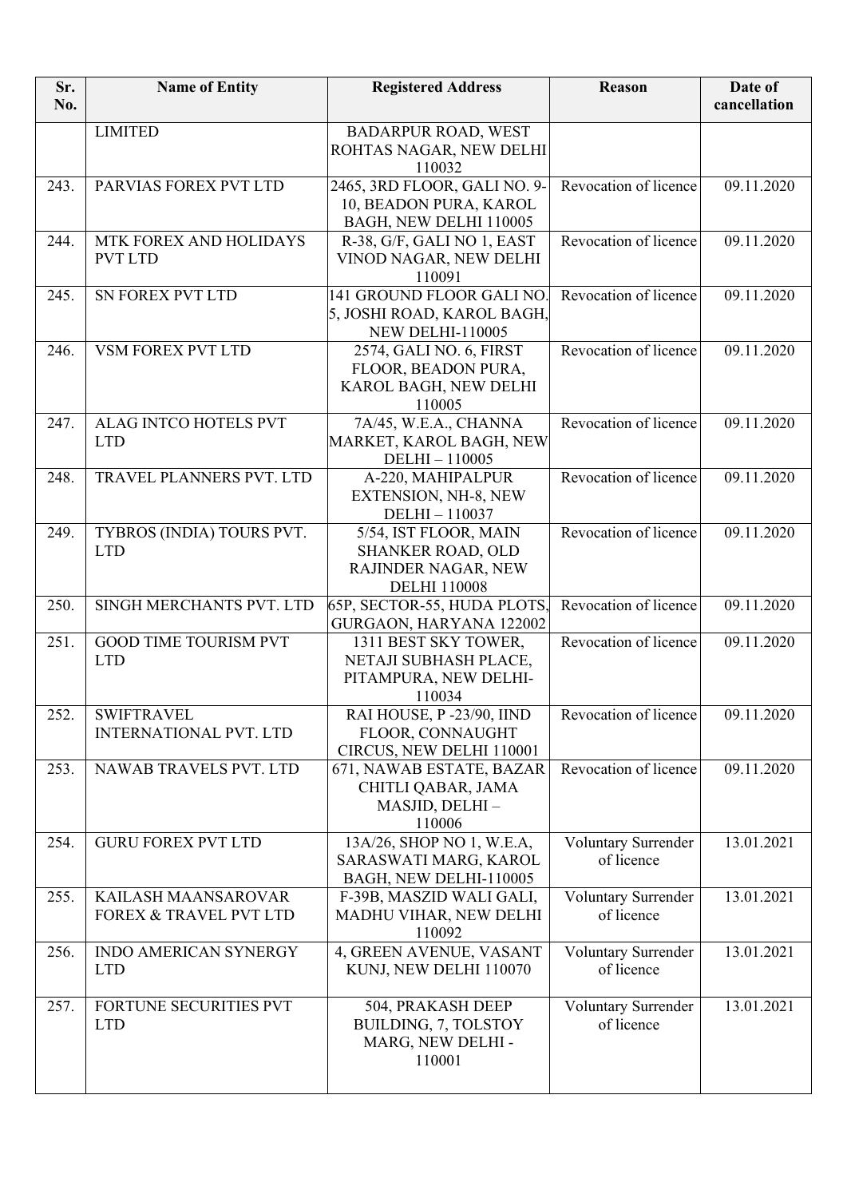| Sr.<br>No. | <b>Name of Entity</b>                              | <b>Registered Address</b>                                                                       | Reason                                   | Date of<br>cancellation |
|------------|----------------------------------------------------|-------------------------------------------------------------------------------------------------|------------------------------------------|-------------------------|
|            | <b>LIMITED</b>                                     | <b>BADARPUR ROAD, WEST</b><br>ROHTAS NAGAR, NEW DELHI<br>110032                                 |                                          |                         |
| 243.       | PARVIAS FOREX PVT LTD                              | 2465, 3RD FLOOR, GALI NO. 9-<br>10, BEADON PURA, KAROL<br>BAGH, NEW DELHI 110005                | Revocation of licence                    | 09.11.2020              |
| 244.       | MTK FOREX AND HOLIDAYS<br><b>PVT LTD</b>           | R-38, G/F, GALI NO 1, EAST<br>VINOD NAGAR, NEW DELHI<br>110091                                  | Revocation of licence                    | 09.11.2020              |
| 245.       | SN FOREX PVT LTD                                   | 141 GROUND FLOOR GALI NO.<br>5, JOSHI ROAD, KAROL BAGH,<br><b>NEW DELHI-110005</b>              | Revocation of licence                    | 09.11.2020              |
| 246.       | VSM FOREX PVT LTD                                  | 2574, GALI NO. 6, FIRST<br>FLOOR, BEADON PURA,<br>KAROL BAGH, NEW DELHI<br>110005               | Revocation of licence                    | 09.11.2020              |
| 247.       | ALAG INTCO HOTELS PVT<br><b>LTD</b>                | 7A/45, W.E.A., CHANNA<br>MARKET, KAROL BAGH, NEW<br>DELHI-110005                                | Revocation of licence                    | 09.11.2020              |
| 248.       | TRAVEL PLANNERS PVT. LTD                           | A-220, MAHIPALPUR<br>EXTENSION, NH-8, NEW<br>DELHI-110037                                       | Revocation of licence                    | 09.11.2020              |
| 249.       | TYBROS (INDIA) TOURS PVT.<br><b>LTD</b>            | 5/54, IST FLOOR, MAIN<br><b>SHANKER ROAD, OLD</b><br>RAJINDER NAGAR, NEW<br><b>DELHI 110008</b> | Revocation of licence                    | 09.11.2020              |
| 250.       | SINGH MERCHANTS PVT. LTD                           | 65P, SECTOR-55, HUDA PLOTS,<br>GURGAON, HARYANA 122002                                          | Revocation of licence                    | 09.11.2020              |
| 251.       | <b>GOOD TIME TOURISM PVT</b><br><b>LTD</b>         | 1311 BEST SKY TOWER,<br>NETAJI SUBHASH PLACE,<br>PITAMPURA, NEW DELHI-<br>110034                | Revocation of licence                    | 09.11.2020              |
| 252.       | <b>SWIFTRAVEL</b><br><b>INTERNATIONAL PVT. LTD</b> | RAI HOUSE, P -23/90, IIND<br>FLOOR, CONNAUGHT<br>CIRCUS, NEW DELHI 110001                       | Revocation of licence                    | 09.11.2020              |
| 253.       | NAWAB TRAVELS PVT. LTD                             | 671, NAWAB ESTATE, BAZAR<br>CHITLI QABAR, JAMA<br>MASJID, DELHI-<br>110006                      | Revocation of licence                    | 09.11.2020              |
| 254.       | <b>GURU FOREX PVT LTD</b>                          | 13A/26, SHOP NO 1, W.E.A,<br>SARASWATI MARG, KAROL<br>BAGH, NEW DELHI-110005                    | <b>Voluntary Surrender</b><br>of licence | 13.01.2021              |
| 255.       | KAILASH MAANSAROVAR<br>FOREX & TRAVEL PVT LTD      | F-39B, MASZID WALI GALI,<br>MADHU VIHAR, NEW DELHI<br>110092                                    | Voluntary Surrender<br>of licence        | 13.01.2021              |
| 256.       | INDO AMERICAN SYNERGY<br><b>LTD</b>                | 4, GREEN AVENUE, VASANT<br>KUNJ, NEW DELHI 110070                                               | Voluntary Surrender<br>of licence        | 13.01.2021              |
| 257.       | FORTUNE SECURITIES PVT<br><b>LTD</b>               | 504, PRAKASH DEEP<br>BUILDING, 7, TOLSTOY<br>MARG, NEW DELHI -<br>110001                        | Voluntary Surrender<br>of licence        | 13.01.2021              |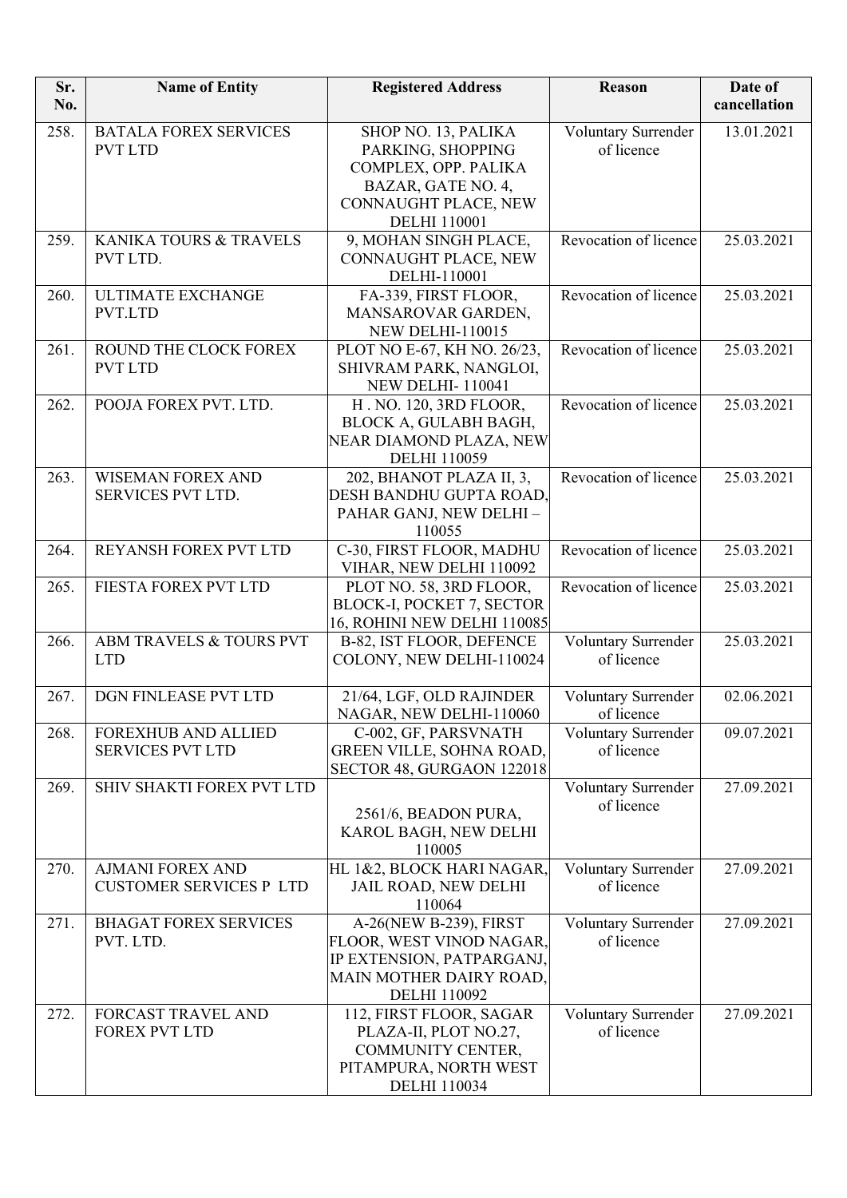| Sr.<br>No. | <b>Name of Entity</b>                                     | <b>Registered Address</b>                                                                                                             | Reason                                   | Date of<br>cancellation |
|------------|-----------------------------------------------------------|---------------------------------------------------------------------------------------------------------------------------------------|------------------------------------------|-------------------------|
| 258.       | <b>BATALA FOREX SERVICES</b><br><b>PVT LTD</b>            | SHOP NO. 13, PALIKA<br>PARKING, SHOPPING<br>COMPLEX, OPP. PALIKA<br>BAZAR, GATE NO. 4,<br>CONNAUGHT PLACE, NEW<br><b>DELHI</b> 110001 | Voluntary Surrender<br>of licence        | 13.01.2021              |
| 259.       | KANIKA TOURS & TRAVELS<br>PVT LTD.                        | 9, MOHAN SINGH PLACE,<br>CONNAUGHT PLACE, NEW<br>DELHI-110001                                                                         | Revocation of licence                    | 25.03.2021              |
| 260.       | <b>ULTIMATE EXCHANGE</b><br>PVT.LTD                       | FA-339, FIRST FLOOR,<br>MANSAROVAR GARDEN,<br><b>NEW DELHI-110015</b>                                                                 | Revocation of licence                    | 25.03.2021              |
| 261.       | ROUND THE CLOCK FOREX<br><b>PVT LTD</b>                   | PLOT NO E-67, KH NO. 26/23,<br>SHIVRAM PARK, NANGLOI,<br><b>NEW DELHI-110041</b>                                                      | Revocation of licence                    | 25.03.2021              |
| 262.       | POOJA FOREX PVT. LTD.                                     | H. NO. 120, 3RD FLOOR,<br>BLOCK A, GULABH BAGH,<br>NEAR DIAMOND PLAZA, NEW<br><b>DELHI 110059</b>                                     | Revocation of licence                    | 25.03.2021              |
| 263.       | <b>WISEMAN FOREX AND</b><br>SERVICES PVT LTD.             | 202, BHANOT PLAZA II, 3,<br>DESH BANDHU GUPTA ROAD,<br>PAHAR GANJ, NEW DELHI -<br>110055                                              | Revocation of licence                    | 25.03.2021              |
| 264.       | REYANSH FOREX PVT LTD                                     | C-30, FIRST FLOOR, MADHU<br>VIHAR, NEW DELHI 110092                                                                                   | Revocation of licence                    | 25.03.2021              |
| 265.       | FIESTA FOREX PVT LTD                                      | PLOT NO. 58, 3RD FLOOR,<br><b>BLOCK-I, POCKET 7, SECTOR</b><br>16, ROHINI NEW DELHI 110085                                            | Revocation of licence                    | 25.03.2021              |
| 266.       | ABM TRAVELS & TOURS PVT<br><b>LTD</b>                     | B-82, IST FLOOR, DEFENCE<br>COLONY, NEW DELHI-110024                                                                                  | Voluntary Surrender<br>of licence        | 25.03.2021              |
| 267.       | DGN FINLEASE PVT LTD                                      | 21/64, LGF, OLD RAJINDER<br>NAGAR, NEW DELHI-110060                                                                                   | <b>Voluntary Surrender</b><br>of licence | 02.06.2021              |
| 268.       | <b>FOREXHUB AND ALLIED</b><br><b>SERVICES PVT LTD</b>     | C-002, GF, PARSVNATH<br>GREEN VILLE, SOHNA ROAD,<br>SECTOR 48, GURGAON 122018                                                         | <b>Voluntary Surrender</b><br>of licence | 09.07.2021              |
| 269.       | SHIV SHAKTI FOREX PVT LTD                                 | 2561/6, BEADON PURA,<br>KAROL BAGH, NEW DELHI<br>110005                                                                               | Voluntary Surrender<br>of licence        | 27.09.2021              |
| 270.       | <b>AJMANI FOREX AND</b><br><b>CUSTOMER SERVICES P LTD</b> | HL 1&2, BLOCK HARI NAGAR,<br><b>JAIL ROAD, NEW DELHI</b><br>110064                                                                    | Voluntary Surrender<br>of licence        | 27.09.2021              |
| 271.       | <b>BHAGAT FOREX SERVICES</b><br>PVT. LTD.                 | A-26(NEW B-239), FIRST<br>FLOOR, WEST VINOD NAGAR,<br>IP EXTENSION, PATPARGANJ,<br>MAIN MOTHER DAIRY ROAD,<br><b>DELHI 110092</b>     | Voluntary Surrender<br>of licence        | 27.09.2021              |
| 272.       | FORCAST TRAVEL AND<br><b>FOREX PVT LTD</b>                | 112, FIRST FLOOR, SAGAR<br>PLAZA-II, PLOT NO.27,<br>COMMUNITY CENTER,<br>PITAMPURA, NORTH WEST<br><b>DELHI</b> 110034                 | Voluntary Surrender<br>of licence        | 27.09.2021              |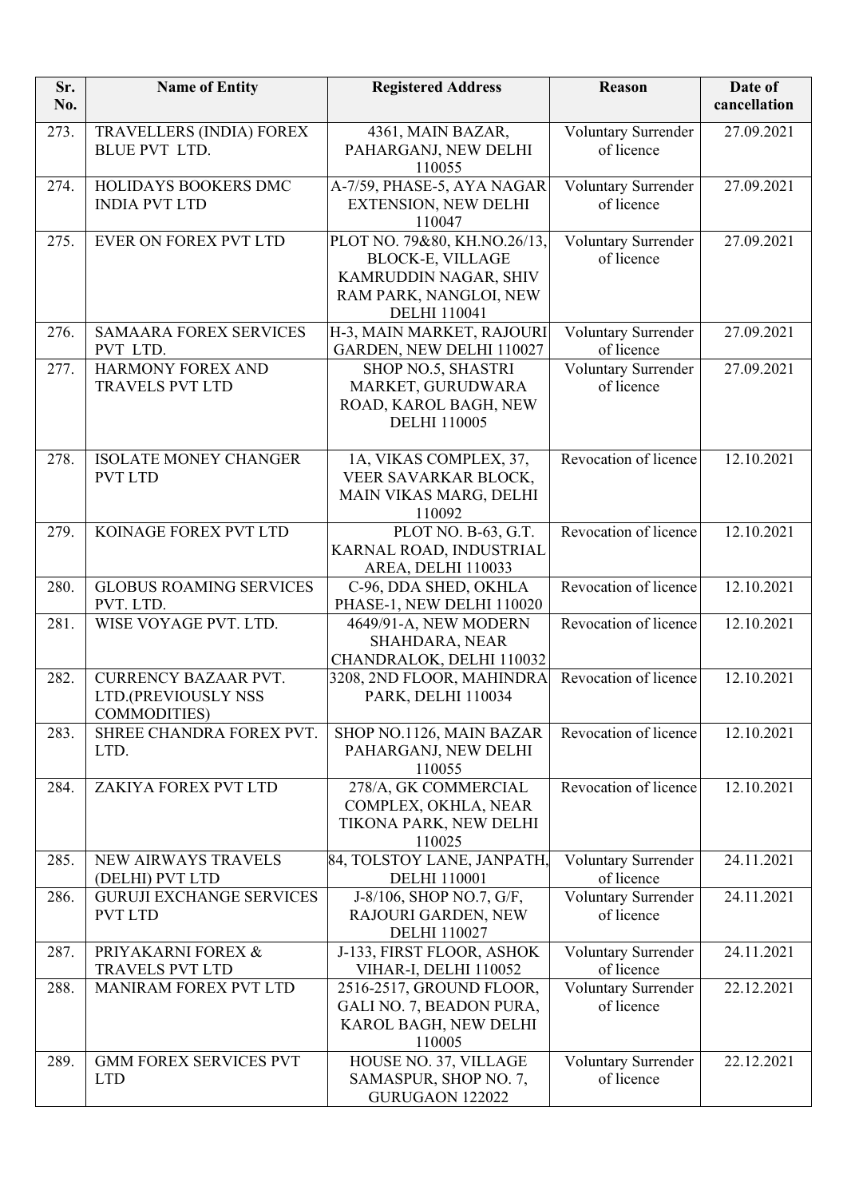| Sr.<br>No. | <b>Name of Entity</b>                                                     | <b>Registered Address</b>                                                                                                         | Reason                            | Date of<br>cancellation |
|------------|---------------------------------------------------------------------------|-----------------------------------------------------------------------------------------------------------------------------------|-----------------------------------|-------------------------|
| 273.       | TRAVELLERS (INDIA) FOREX<br><b>BLUE PVT LTD.</b>                          | 4361, MAIN BAZAR,<br>PAHARGANJ, NEW DELHI<br>110055                                                                               | Voluntary Surrender<br>of licence | 27.09.2021              |
| 274.       | HOLIDAYS BOOKERS DMC<br><b>INDIA PVT LTD</b>                              | A-7/59, PHASE-5, AYA NAGAR<br><b>EXTENSION, NEW DELHI</b><br>110047                                                               | Voluntary Surrender<br>of licence | 27.09.2021              |
| 275.       | <b>EVER ON FOREX PVT LTD</b>                                              | PLOT NO. 79&80, KH.NO.26/13,<br><b>BLOCK-E, VILLAGE</b><br>KAMRUDDIN NAGAR, SHIV<br>RAM PARK, NANGLOI, NEW<br><b>DELHI</b> 110041 | Voluntary Surrender<br>of licence | 27.09.2021              |
| 276.       | <b>SAMAARA FOREX SERVICES</b><br>PVT LTD.                                 | H-3, MAIN MARKET, RAJOURI<br>GARDEN, NEW DELHI 110027                                                                             | Voluntary Surrender<br>of licence | 27.09.2021              |
| 277.       | <b>HARMONY FOREX AND</b><br><b>TRAVELS PVT LTD</b>                        | SHOP NO.5, SHASTRI<br>MARKET, GURUDWARA<br>ROAD, KAROL BAGH, NEW<br><b>DELHI 110005</b>                                           | Voluntary Surrender<br>of licence | 27.09.2021              |
| 278.       | <b>ISOLATE MONEY CHANGER</b><br><b>PVT LTD</b>                            | 1A, VIKAS COMPLEX, 37,<br>VEER SAVARKAR BLOCK,<br>MAIN VIKAS MARG, DELHI<br>110092                                                | Revocation of licence             | 12.10.2021              |
| 279.       | KOINAGE FOREX PVT LTD                                                     | PLOT NO. B-63, G.T.<br>KARNAL ROAD, INDUSTRIAL<br>AREA, DELHI 110033                                                              | Revocation of licence             | 12.10.2021              |
| 280.       | <b>GLOBUS ROAMING SERVICES</b><br>PVT. LTD.                               | C-96, DDA SHED, OKHLA<br>PHASE-1, NEW DELHI 110020                                                                                | Revocation of licence             | $\overline{12.10.2021}$ |
| 281.       | WISE VOYAGE PVT. LTD.                                                     | 4649/91-A, NEW MODERN<br>SHAHDARA, NEAR<br>CHANDRALOK, DELHI 110032                                                               | Revocation of licence             | 12.10.2021              |
| 282.       | <b>CURRENCY BAZAAR PVT.</b><br>LTD.(PREVIOUSLY NSS<br><b>COMMODITIES)</b> | 3208, 2ND FLOOR, MAHINDRA<br>PARK, DELHI 110034                                                                                   | Revocation of licence             | 12.10.2021              |
| 283.       | SHREE CHANDRA FOREX PVT.<br>LTD.                                          | SHOP NO.1126, MAIN BAZAR<br>PAHARGANJ, NEW DELHI<br>110055                                                                        | Revocation of licence             | 12.10.2021              |
| 284.       | ZAKIYA FOREX PVT LTD                                                      | 278/A, GK COMMERCIAL<br>COMPLEX, OKHLA, NEAR<br>TIKONA PARK, NEW DELHI<br>110025                                                  | Revocation of licence             | 12.10.2021              |
| 285.       | NEW AIRWAYS TRAVELS<br>(DELHI) PVT LTD                                    | 84, TOLSTOY LANE, JANPATH,<br><b>DELHI</b> 110001                                                                                 | Voluntary Surrender<br>of licence | 24.11.2021              |
| 286.       | <b>GURUJI EXCHANGE SERVICES</b><br><b>PVT LTD</b>                         | J-8/106, SHOP NO.7, G/F,<br>RAJOURI GARDEN, NEW<br><b>DELHI</b> 110027                                                            | Voluntary Surrender<br>of licence | 24.11.2021              |
| 287.       | PRIYAKARNI FOREX &<br><b>TRAVELS PVT LTD</b>                              | J-133, FIRST FLOOR, ASHOK<br>VIHAR-I, DELHI 110052                                                                                | Voluntary Surrender<br>of licence | 24.11.2021              |
| 288.       | MANIRAM FOREX PVT LTD                                                     | 2516-2517, GROUND FLOOR,<br>GALI NO. 7, BEADON PURA,<br>KAROL BAGH, NEW DELHI<br>110005                                           | Voluntary Surrender<br>of licence | 22.12.2021              |
| 289.       | <b>GMM FOREX SERVICES PVT</b><br><b>LTD</b>                               | HOUSE NO. 37, VILLAGE<br>SAMASPUR, SHOP NO. 7,<br>GURUGAON 122022                                                                 | Voluntary Surrender<br>of licence | 22.12.2021              |